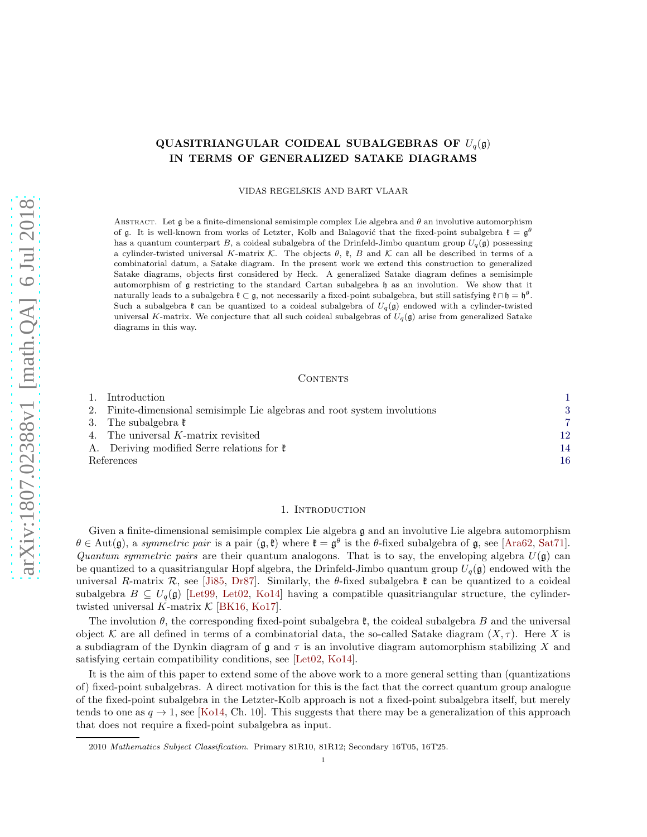# QUASITRIANGULAR COIDEAL SUBALGEBRAS OF  $U_q(\mathfrak{g})$ IN TERMS OF GENERALIZED SATAKE DIAGRAMS

VIDAS REGELSKIS AND BART VLAAR

ABSTRACT. Let g be a finite-dimensional semisimple complex Lie algebra and  $\theta$  an involutive automorphism of g. It is well-known from works of Letzter, Kolb and Balagović that the fixed-point subalgebra  $\mathfrak{k} = \mathfrak{g}^{\theta}$ has a quantum counterpart B, a coideal subalgebra of the Drinfeld-Jimbo quantum group  $U_q(\mathfrak{g})$  possessing a cylinder-twisted universal K-matrix K. The objects  $\theta$ ,  $\mathfrak{k}$ , B and K can all be described in terms of a combinatorial datum, a Satake diagram. In the present work we extend this construction to generalized Satake diagrams, objects first considered by Heck. A generalized Satake diagram defines a semisimple automorphism of g restricting to the standard Cartan subalgebra h as an involution. We show that it naturally leads to a subalgebra  $\mathfrak{k} \subset \mathfrak{g}$ , not necessarily a fixed-point subalgebra, but still satisfying  $\mathfrak{k} \cap \mathfrak{h} = \mathfrak{h}^{\theta}$ . Such a subalgebra  $\mathfrak k$  can be quantized to a coideal subalgebra of  $U_q(\mathfrak g)$  endowed with a cylinder-twisted universal K-matrix. We conjecture that all such coideal subalgebras of  $U_q(\mathfrak{g})$  arise from generalized Satake diagrams in this way.

#### CONTENTS

|            | 1. Introduction                                                           |    |
|------------|---------------------------------------------------------------------------|----|
|            | 2. Finite-dimensional semisimple Lie algebras and root system involutions | 3  |
|            | 3. The subalgebra $\mathfrak k$                                           | ,  |
|            | 4. The universal K-matrix revisited                                       | 12 |
|            | A. Deriving modified Serre relations for $\mathfrak k$                    | 14 |
| References |                                                                           | 16 |

# 1. INTRODUCTION

<span id="page-0-0"></span>Given a finite-dimensional semisimple complex Lie algebra  $\mathfrak g$  and an involutive Lie algebra automorphism  $\theta \in \text{Aut}(\mathfrak{g})$ , a *symmetric pair* is a pair  $(\mathfrak{g}, \mathfrak{k})$  where  $\mathfrak{k} = \mathfrak{g}^{\theta}$  is the  $\theta$ -fixed subalgebra of  $\mathfrak{g}$ , see [\[Ara62,](#page-15-1) [Sat71\]](#page-15-2). *Quantum symmetric pairs* are their quantum analogons. That is to say, the enveloping algebra  $U(\mathfrak{g})$  can be quantized to a quasitriangular Hopf algebra, the Drinfeld-Jimbo quantum group  $U_q(\mathfrak{g})$  endowed with the universal R-matrix R, see [\[Ji85,](#page-15-3) [Dr87\]](#page-15-4). Similarly, the  $\theta$ -fixed subalgebra  $\mathfrak{k}$  can be quantized to a coideal subalgebra  $B \subseteq U_q(\mathfrak{g})$  [Let 99, Let 02, [Ko14\]](#page-15-7) having a compatible quasitriangular structure, the cylindertwisted universal K-matrix  $\mathcal{K}$  [\[BK16,](#page-15-8) [Ko17\]](#page-15-9).

The involution  $\theta$ , the corresponding fixed-point subalgebra  $\mathfrak{k}$ , the coideal subalgebra B and the universal object K are all defined in terms of a combinatorial data, the so-called Satake diagram  $(X, \tau)$ . Here X is a subdiagram of the Dynkin diagram of  $\mathfrak g$  and  $\tau$  is an involutive diagram automorphism stabilizing X and satisfying certain compatibility conditions, see [\[Let02,](#page-15-6) [Ko14\]](#page-15-7).

It is the aim of this paper to extend some of the above work to a more general setting than (quantizations of) fixed-point subalgebras. A direct motivation for this is the fact that the correct quantum group analogue of the fixed-point subalgebra in the Letzter-Kolb approach is not a fixed-point subalgebra itself, but merely tends to one as  $q \to 1$ , see [\[Ko14,](#page-15-7) Ch. 10]. This suggests that there may be a generalization of this approach that does not require a fixed-point subalgebra as input.

<sup>2010</sup> Mathematics Subject Classification. Primary 81R10, 81R12; Secondary 16T05, 16T25.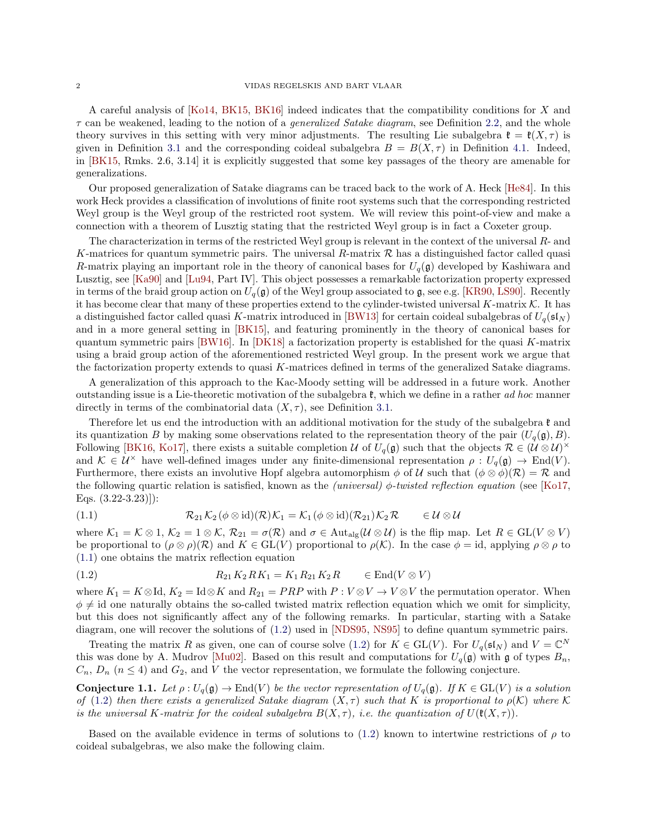A careful analysis of [\[Ko14,](#page-15-7) [BK15,](#page-15-10) [BK16\]](#page-15-8) indeed indicates that the compatibility conditions for X and τ can be weakened, leading to the notion of a *generalized Satake diagram*, see Definition [2.2,](#page-4-0) and the whole theory survives in this setting with very minor adjustments. The resulting Lie subalgebra  $\mathfrak{k} = \mathfrak{k}(X, \tau)$  is given in Definition [3.1](#page-6-1) and the corresponding coideal subalgebra  $B = B(X, \tau)$  in Definition [4.1.](#page-12-0) Indeed, in [\[BK15,](#page-15-10) Rmks. 2.6, 3.14] it is explicitly suggested that some key passages of the theory are amenable for generalizations.

Our proposed generalization of Satake diagrams can be traced back to the work of A. Heck [\[He84\]](#page-15-11). In this work Heck provides a classification of involutions of finite root systems such that the corresponding restricted Weyl group is the Weyl group of the restricted root system. We will review this point-of-view and make a connection with a theorem of Lusztig stating that the restricted Weyl group is in fact a Coxeter group.

The characterization in terms of the restricted Weyl group is relevant in the context of the universal  $R$ - and K-matrices for quantum symmetric pairs. The universal R-matrix  $\mathcal R$  has a distinguished factor called quasi R-matrix playing an important role in the theory of canonical bases for  $U_q(\mathfrak{g})$  developed by Kashiwara and Lusztig, see [\[Ka90\]](#page-15-12) and [\[Lu94,](#page-15-13) Part IV]. This object possesses a remarkable factorization property expressed in terms of the braid group action on  $U_q(\mathfrak{g})$  of the Weyl group associated to g, see e.g. [\[KR90,](#page-15-14) [LS90\]](#page-15-15). Recently it has become clear that many of these properties extend to the cylinder-twisted universal K-matrix  $\mathcal K$ . It has a distinguished factor called quasi K-matrix introduced in [\[BW13\]](#page-15-16) for certain coideal subalgebras of  $U_q(\mathfrak{sl}_N)$ and in a more general setting in [\[BK15\]](#page-15-10), and featuring prominently in the theory of canonical bases for quantum symmetric pairs [\[BW16\]](#page-15-17). In  $[DK18]$  a factorization property is established for the quasi K-matrix using a braid group action of the aforementioned restricted Weyl group. In the present work we argue that the factorization property extends to quasi K-matrices defined in terms of the generalized Satake diagrams.

A generalization of this approach to the Kac-Moody setting will be addressed in a future work. Another outstanding issue is a Lie-theoretic motivation of the subalgebra k, which we define in a rather *ad hoc* manner directly in terms of the combinatorial data  $(X, \tau)$ , see Definition [3.1.](#page-6-1)

Therefore let us end the introduction with an additional motivation for the study of the subalgebra  $\mathfrak k$  and its quantization B by making some observations related to the representation theory of the pair  $(U_q(\mathfrak{g}), B)$ . Following [\[BK16,](#page-15-8) [Ko17\]](#page-15-9), there exists a suitable completion U of  $U_q(\mathfrak{g})$  such that the objects  $\mathcal{R} \in (\mathcal{U} \otimes \mathcal{U})^{\times}$ and  $\mathcal{K} \in \mathcal{U}^{\times}$  have well-defined images under any finite-dimensional representation  $\rho : U_q(\mathfrak{g}) \to \text{End}(V)$ . Furthermore, there exists an involutive Hopf algebra automorphism  $\phi$  of U such that  $(\phi \otimes \phi)(\mathcal{R}) = \mathcal{R}$  and the following quartic relation is satisfied, known as the *(universal)* φ*-twisted reflection equation* (see [\[Ko17,](#page-15-9) Eqs. (3.22-3.23)]):

<span id="page-1-0"></span>(1.1) 
$$
\mathcal{R}_{21}\mathcal{K}_2(\phi\otimes\mathrm{id})(\mathcal{R})\mathcal{K}_1=\mathcal{K}_1(\phi\otimes\mathrm{id})(\mathcal{R}_{21})\mathcal{K}_2\mathcal{R}\qquad\in\mathcal{U}\otimes\mathcal{U}
$$

where  $\mathcal{K}_1 = \mathcal{K} \otimes 1$ ,  $\mathcal{K}_2 = 1 \otimes \mathcal{K}$ ,  $\mathcal{R}_{21} = \sigma(\mathcal{R})$  and  $\sigma \in \text{Aut}_{\text{alg}}(\mathcal{U} \otimes \mathcal{U})$  is the flip map. Let  $R \in \text{GL}(V \otimes V)$ be proportional to  $(\rho \otimes \rho)(\mathcal{R})$  and  $K \in GL(V)$  proportional to  $\rho(\mathcal{K})$ . In the case  $\phi = id$ , applying  $\rho \otimes \rho$  to [\(1.1\)](#page-1-0) one obtains the matrix reflection equation

<span id="page-1-1"></span>(1.2) 
$$
R_{21}K_2RK_1 = K_1 R_{21} K_2 R \in \text{End}(V \otimes V)
$$

where  $K_1 = K \otimes \text{Id}$ ,  $K_2 = \text{Id} \otimes K$  and  $R_{21} = PRP$  with  $P: V \otimes V \to V \otimes V$  the permutation operator. When  $\phi \neq \mathrm{id}$  one naturally obtains the so-called twisted matrix reflection equation which we omit for simplicity, but this does not significantly affect any of the following remarks. In particular, starting with a Satake diagram, one will recover the solutions of [\(1.2\)](#page-1-1) used in [\[NDS95,](#page-15-19) [NS95\]](#page-15-20) to define quantum symmetric pairs.

Treating the matrix R as given, one can of course solve [\(1.2\)](#page-1-1) for  $K \in GL(V)$ . For  $U_q(\mathfrak{sl}_N)$  and  $V = \mathbb{C}^N$ this was done by A. Mudrov [\[Mu02\]](#page-15-21). Based on this result and computations for  $U_q(\mathfrak{g})$  with g of types  $B_n$ ,  $C_n$ ,  $D_n$  ( $n \leq 4$ ) and  $G_2$ , and V the vector representation, we formulate the following conjecture.

<span id="page-1-2"></span>Conjecture 1.1. Let  $\rho: U_q(\mathfrak{g}) \to \text{End}(V)$  *be the vector representation of*  $U_q(\mathfrak{g})$ *. If*  $K \in GL(V)$  *is a solution of* [\(1.2\)](#page-1-1) *then there exists a generalized Satake diagram*  $(X, \tau)$  *such that* K *is proportional to*  $\rho(K)$  *where* K *is the universal* K-matrix for the coideal subalgebra  $B(X, \tau)$ , i.e. the quantization of  $U(\mathfrak{k}(X, \tau))$ .

Based on the available evidence in terms of solutions to [\(1.2\)](#page-1-1) known to intertwine restrictions of  $\rho$  to coideal subalgebras, we also make the following claim.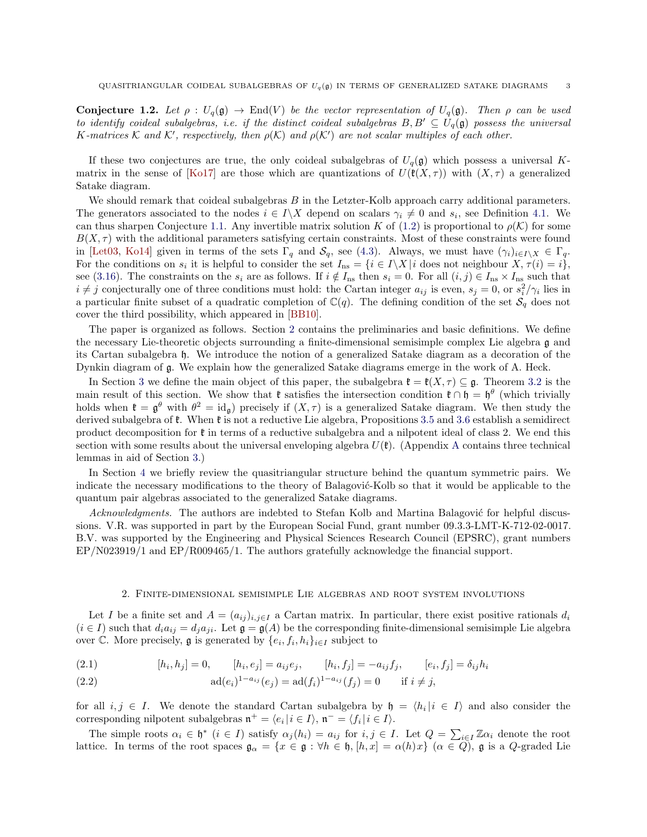Conjecture 1.2. Let  $\rho: U_q(\mathfrak{g}) \to \text{End}(V)$  *be the vector representation of*  $U_q(\mathfrak{g})$ *. Then*  $\rho$  *can be used to identify coideal subalgebras, i.e. if the distinct coideal subalgebras*  $B, B' \subseteq U_q(\mathfrak{g})$  possess the universal K-matrices K and K', respectively, then  $\rho(K)$  and  $\rho(K')$  are not scalar multiples of each other.

If these two conjectures are true, the only coideal subalgebras of  $U_q(\mathfrak{g})$  which possess a universal K-matrix in the sense of [\[Ko17\]](#page-15-9) are those which are quantizations of  $U(\mathfrak{k}(X,\tau))$  with  $(X,\tau)$  a generalized Satake diagram.

We should remark that coideal subalgebras  $B$  in the Letzter-Kolb approach carry additional parameters. The generators associated to the nodes  $i \in I \backslash X$  depend on scalars  $\gamma_i \neq 0$  and  $s_i$ , see Definition [4.1.](#page-12-0) We can thus sharpen Conjecture [1.1.](#page-1-2) Any invertible matrix solution K of [\(1.2\)](#page-1-1) is proportional to  $\rho(\mathcal{K})$  for some  $B(X, \tau)$  with the additional parameters satisfying certain constraints. Most of these constraints were found in [\[Let03,](#page-15-22) [Ko14\]](#page-15-7) given in terms of the sets  $\Gamma_q$  and  $\mathcal{S}_q$ , see [\(4.3\)](#page-12-1). Always, we must have  $(\gamma_i)_{i\in I\setminus X} \in \Gamma_q$ . For the conditions on  $s_i$  it is helpful to consider the set  $I_{\text{ns}} = \{i \in I \setminus X | i \text{ does not neighbor } X, \tau(i) = i\},\$ see [\(3.16\)](#page-8-0). The constraints on the  $s_i$  are as follows. If  $i \notin I_{\text{ns}}$  then  $s_i = 0$ . For all  $(i, j) \in I_{\text{ns}} \times I_{\text{ns}}$  such that  $i \neq j$  conjecturally one of three conditions must hold: the Cartan integer  $a_{ij}$  is even,  $s_j = 0$ , or  $s_i^2/\gamma_i$  lies in a particular finite subset of a quadratic completion of  $\mathbb{C}(q)$ . The defining condition of the set  $\mathcal{S}_q$  does not cover the third possibility, which appeared in [\[BB10\]](#page-15-23).

The paper is organized as follows. Section [2](#page-2-0) contains the preliminaries and basic definitions. We define the necessary Lie-theoretic objects surrounding a finite-dimensional semisimple complex Lie algebra g and its Cartan subalgebra h. We introduce the notion of a generalized Satake diagram as a decoration of the Dynkin diagram of g. We explain how the generalized Satake diagrams emerge in the work of A. Heck.

In Section [3](#page-6-0) we define the main object of this paper, the subalgebra  $\mathfrak{k} = \mathfrak{k}(X, \tau) \subseteq \mathfrak{g}$ . Theorem [3.2](#page-7-0) is the main result of this section. We show that  $\mathfrak{k}$  satisfies the intersection condition  $\mathfrak{k} \cap \mathfrak{h} = \mathfrak{h}^{\theta}$  (which trivially holds when  $\mathfrak{k} = \mathfrak{g}^{\theta}$  with  $\theta^2 = \mathrm{id}_{\mathfrak{g}}$  precisely if  $(X, \tau)$  is a generalized Satake diagram. We then study the derived subalgebra of  $\mathfrak{k}$ . When  $\mathfrak{k}$  is not a reductive Lie algebra, Propositions [3.5](#page-8-1) and [3.6](#page-9-0) establish a semidirect product decomposition for k in terms of a reductive subalgebra and a nilpotent ideal of class 2. We end this section with some results about the universal enveloping algebra  $U(\mathfrak{k})$ . ([A](#page-13-0)ppendix A contains three technical lemmas in aid of Section [3.](#page-6-0))

In Section [4](#page-11-0) we briefly review the quasitriangular structure behind the quantum symmetric pairs. We indicate the necessary modifications to the theory of Balagović-Kolb so that it would be applicable to the quantum pair algebras associated to the generalized Satake diagrams.

*Acknowledgments.* The authors are indebted to Stefan Kolb and Martina Balagović for helpful discussions. V.R. was supported in part by the European Social Fund, grant number 09.3.3-LMT-K-712-02-0017. B.V. was supported by the Engineering and Physical Sciences Research Council (EPSRC), grant numbers EP/N023919/1 and EP/R009465/1. The authors gratefully acknowledge the financial support.

### 2. Finite-dimensional semisimple Lie algebras and root system involutions

<span id="page-2-0"></span>Let I be a finite set and  $A = (a_{ij})_{i,j\in I}$  a Cartan matrix. In particular, there exist positive rationals  $d_i$  $(i \in I)$  such that  $d_i a_{ij} = d_j a_{ji}$ . Let  $\mathfrak{g} = \mathfrak{g}(A)$  be the corresponding finite-dimensional semisimple Lie algebra over  $\mathbb C$ . More precisely,  $\mathfrak g$  is generated by  $\{e_i, f_i, h_i\}_{i\in I}$  subject to

<span id="page-2-1"></span>(2.1) 
$$
[h_i, h_j] = 0, \qquad [h_i, e_j] = a_{ij}e_j, \qquad [h_i, f_j] = -a_{ij}f_j, \qquad [e_i, f_j] = \delta_{ij}h_i
$$

<span id="page-2-2"></span>(2.2) 
$$
\text{ad}(e_i)^{1-a_{ij}}(e_j) = \text{ad}(f_i)^{1-a_{ij}}(f_j) = 0 \quad \text{if } i \neq j,
$$

for all  $i, j \in I$ . We denote the standard Cartan subalgebra by  $\mathfrak{h} = \langle h_i | i \in I \rangle$  and also consider the corresponding nilpotent subalgebras  $\mathfrak{n}^+ = \langle e_i | i \in I \rangle$ ,  $\mathfrak{n}^- = \langle f_i | i \in I \rangle$ .

The simple roots  $\alpha_i \in \mathfrak{h}^*$   $(i \in I)$  satisfy  $\alpha_j(h_i) = a_{ij}$  for  $i, j \in I$ . Let  $Q = \sum_{i \in I} \mathbb{Z} \alpha_i$  denote the root lattice. In terms of the root spaces  $\mathfrak{g}_{\alpha} = \{x \in \mathfrak{g} : \forall h \in \mathfrak{h}, [h, x] = \alpha(h)x\} \ (\alpha \in Q)$ , g is a Q-graded Lie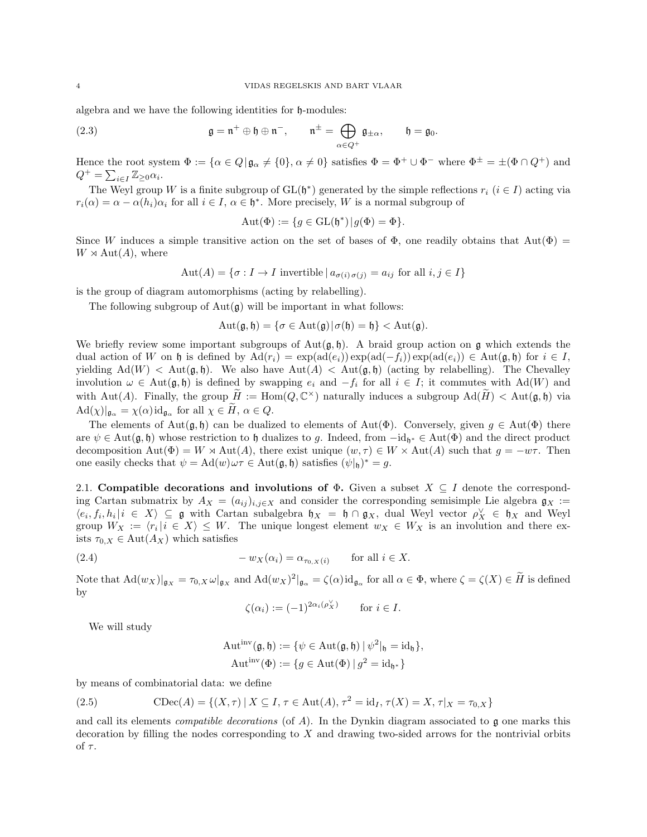algebra and we have the following identities for h-modules:

(2.3) 
$$
\mathfrak{g} = \mathfrak{n}^+ \oplus \mathfrak{h} \oplus \mathfrak{n}^-, \qquad \mathfrak{n}^{\pm} = \bigoplus_{\alpha \in Q^+} \mathfrak{g}_{\pm \alpha}, \qquad \mathfrak{h} = \mathfrak{g}_0.
$$

Hence the root system  $\Phi := {\alpha \in Q | \mathfrak{g}_\alpha \neq \{0\}, \alpha \neq 0\}$  satisfies  $\Phi = \Phi^+ \cup \Phi^-$  where  $\Phi^\pm = \pm (\Phi \cap Q^+)$  and  $Q^+ = \sum_{i \in I} \mathbb{Z}_{\geq 0} \alpha_i.$ 

The Weyl group W is a finite subgroup of  $GL(\mathfrak{h}^*)$  generated by the simple reflections  $r_i$   $(i \in I)$  acting via  $r_i(\alpha) = \alpha - \alpha(h_i)\alpha_i$  for all  $i \in I$ ,  $\alpha \in \mathfrak{h}^*$ . More precisely, W is a normal subgroup of

<span id="page-3-0"></span>
$$
Aut(\Phi) := \{ g \in GL(\mathfrak{h}^*) | g(\Phi) = \Phi \}.
$$

Since W induces a simple transitive action on the set of bases of  $\Phi$ , one readily obtains that  $Aut(\Phi)$  =  $W \rtimes \text{Aut}(A)$ , where

$$
Aut(A) = \{ \sigma : I \to I \text{ invertible } | a_{\sigma(i)\sigma(j)} = a_{ij} \text{ for all } i, j \in I \}
$$

is the group of diagram automorphisms (acting by relabelling).

The following subgroup of  $Aut(\mathfrak{g})$  will be important in what follows:

$$
Aut(\mathfrak{g},\mathfrak{h})=\{\sigma\in Aut(\mathfrak{g})|\sigma(\mathfrak{h})=\mathfrak{h}\}< Aut(\mathfrak{g}).
$$

We briefly review some important subgroups of  $Aut(g, \mathfrak{h})$ . A braid group action on g which extends the dual action of W on h is defined by  $\text{Ad}(r_i) = \exp(\text{ad}(e_i)) \exp(\text{ad}(-f_i)) \exp(\text{ad}(e_i)) \in \text{Aut}(\mathfrak{g},\mathfrak{h})$  for  $i \in I$ , yielding  $\text{Ad}(W) < \text{Aut}(\mathfrak{g},\mathfrak{h})$ . We also have  $\text{Aut}(A) < \text{Aut}(\mathfrak{g},\mathfrak{h})$  (acting by relabelling). The Chevalley involution  $\omega \in Aut(\mathfrak{g}, \mathfrak{h})$  is defined by swapping  $e_i$  and  $-f_i$  for all  $i \in I$ ; it commutes with Ad(W) and with Aut(A). Finally, the group  $\widetilde{H} := \text{Hom}(Q, \mathbb{C}^{\times})$  naturally induces a subgroup  $\text{Ad}(\widetilde{H}) < \text{Aut}(\mathfrak{g}, \mathfrak{h})$  via  $\text{Ad}(\chi)|_{\mathfrak{g}_{\alpha}} = \chi(\alpha) \text{id}_{\mathfrak{g}_{\alpha}} \text{ for all } \chi \in H, \alpha \in Q.$ 

The elements of Aut( $\frak{g}, \frak{h}$ ) can be dualized to elements of Aut( $\Phi$ ). Conversely, given  $g \in Aut(\Phi)$  there are  $\psi \in \text{Aut}(\mathfrak{g},\mathfrak{h})$  whose restriction to  $\mathfrak{h}$  dualizes to g. Indeed, from  $-\text{id}_{\mathfrak{h}^*} \in \text{Aut}(\Phi)$  and the direct product decomposition  $\text{Aut}(\Phi) = W \rtimes \text{Aut}(A)$ , there exist unique  $(w, \tau) \in W \times \text{Aut}(A)$  such that  $g = -w\tau$ . Then one easily checks that  $\psi = \text{Ad}(w)\omega\tau \in \text{Aut}(\mathfrak{g},\mathfrak{h})$  satisfies  $(\psi|_{\mathfrak{h}})^* = g$ .

2.1. Compatible decorations and involutions of  $\Phi$ . Given a subset  $X \subseteq I$  denote the corresponding Cartan submatrix by  $A_X = (a_{ij})_{i,j \in X}$  and consider the corresponding semisimple Lie algebra  $\mathfrak{g}_X :=$  $\langle e_i, f_i, h_i | i \in X \rangle \subseteq \mathfrak{g}$  with Cartan subalgebra  $\mathfrak{h}_X = \mathfrak{h} \cap \mathfrak{g}_X$ , dual Weyl vector  $\rho_X^{\vee} \in \mathfrak{h}_X$  and Weyl group  $W_X := \langle r_i | i \in X \rangle \leq W$ . The unique longest element  $w_X \in W_X$  is an involution and there exists  $\tau_{0,X} \in \text{Aut}(A_X)$  which satisfies

(2.4) 
$$
-w_X(\alpha_i) = \alpha_{\tau_{0,X}(i)} \quad \text{for all } i \in X.
$$

Note that  $\text{Ad}(w_X)|_{\mathfrak{g}_X} = \tau_{0,X} \omega|_{\mathfrak{g}_X}$  and  $\text{Ad}(w_X)^2|_{\mathfrak{g}_\alpha} = \zeta(\alpha) \text{id}_{\mathfrak{g}_\alpha}$  for all  $\alpha \in \Phi$ , where  $\zeta = \zeta(X) \in \overline{H}$  is defined by

$$
\zeta(\alpha_i) := (-1)^{2\alpha_i(\rho_X^{\vee})} \quad \text{for } i \in I.
$$

We will study

$$
\mathrm{Aut}^{\mathrm{inv}}(\mathfrak{g}, \mathfrak{h}) := \{ \psi \in \mathrm{Aut}(\mathfrak{g}, \mathfrak{h}) \mid \psi^2|_{\mathfrak{h}} = \mathrm{id}_{\mathfrak{h}} \},
$$

$$
\mathrm{Aut}^{\mathrm{inv}}(\Phi) := \{ g \in \mathrm{Aut}(\Phi) \mid g^2 = \mathrm{id}_{\mathfrak{h}^*} \}
$$

by means of combinatorial data: we define

(2.5) 
$$
\text{CDec}(A) = \{(X, \tau) \mid X \subseteq I, \tau \in \text{Aut}(A), \tau^2 = \text{id}_I, \tau(X) = X, \tau|_X = \tau_{0,X}\}
$$

and call its elements *compatible decorations* (of A). In the Dynkin diagram associated to g one marks this decoration by filling the nodes corresponding to  $X$  and drawing two-sided arrows for the nontrivial orbits of τ.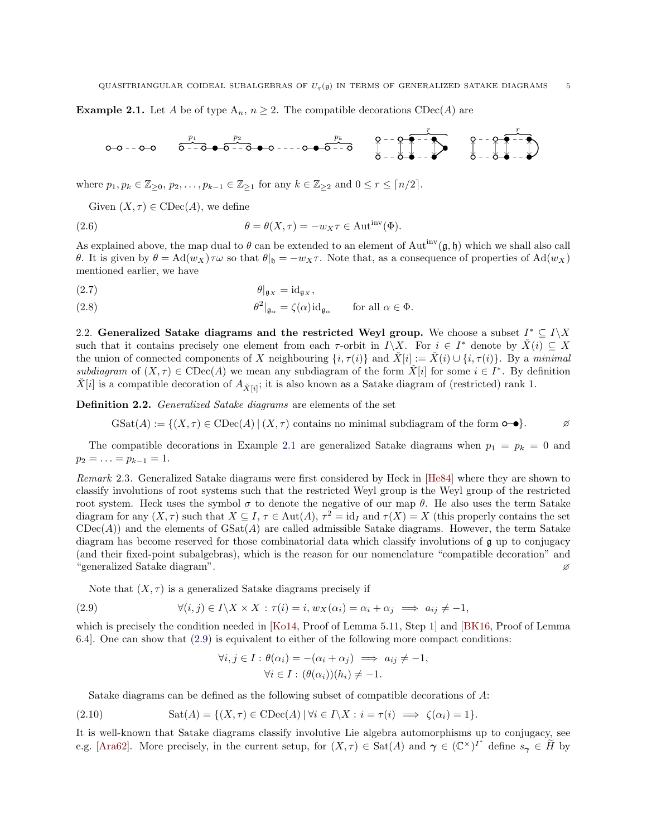<span id="page-4-1"></span>**Example 2.1.** Let A be of type  $A_n$ ,  $n \geq 2$ . The compatible decorations  $\text{CDec}(A)$  are

$$
0-0-0-0
$$
  $\overbrace{0--0-0-0--0-0--0-0--0-0--0}^{p_2}$   $\overbrace{0--0-0--0}^{p_k}$   $\overbrace{0--0-0--0}^{T}$   $\overbrace{0--0-0--0}^{T}$   $\overbrace{0--0-0--0}^{T}$ 

where  $p_1, p_k \in \mathbb{Z}_{\geq 0}, p_2, \ldots, p_{k-1} \in \mathbb{Z}_{\geq 1}$  for any  $k \in \mathbb{Z}_{\geq 2}$  and  $0 \leq r \leq \lceil n/2 \rceil$ .

Given  $(X, \tau) \in \mathrm{CDec}(A)$ , we define

(2.6) 
$$
\theta = \theta(X, \tau) = -w_X \tau \in \text{Aut}^{\text{inv}}(\Phi).
$$

As explained above, the map dual to  $\theta$  can be extended to an element of Aut<sup>inv</sup>( $\mathfrak{g}, \mathfrak{h}$ ) which we shall also call θ. It is given by  $θ = \text{Ad}(w_X)τω$  so that  $θ|_θ = -w_Xτ$ . Note that, as a consequence of properties of  $\text{Ad}(w_X)$ mentioned earlier, we have

<span id="page-4-5"></span>
$$
\theta|_{\mathfrak{g}_X} = \mathrm{id}_{\mathfrak{g}_X},
$$

<span id="page-4-3"></span>(2.8)  $\theta^2|_{\mathfrak{g}_{\alpha}} = \zeta(\alpha) \mathrm{id}_{\mathfrak{g}_{\alpha}} \quad \text{for all } \alpha \in \Phi.$ 

2.2. Generalized Satake diagrams and the restricted Weyl group. We choose a subset  $I^* \subseteq I \backslash X$ such that it contains precisely one element from each  $\tau$ -orbit in  $I\setminus X$ . For  $i \in I^*$  denote by  $\check{X}(i) \subseteq X$ the union of connected components of X neighbouring  $\{i, \tau(i)\}$  and  $\check{X}[i] := \check{X}(i) \cup \{i, \tau(i)\}$ . By a *minimal* subdiagram of  $(X, \tau) \in \text{CDec}(A)$  we mean any subdiagram of the form  $X[i]$  for some  $i \in I^*$ . By definition  $\check{X}[i]$  is a compatible decoration of  $A_{\check{X}[i]}$ ; it is also known as a Satake diagram of (restricted) rank 1.

<span id="page-4-0"></span>Definition 2.2. *Generalized Satake diagrams* are elements of the set

$$
\text{GSat}(A) := \{ (X, \tau) \in \text{CDec}(A) \mid (X, \tau) \text{ contains no minimal subdiagram of the form } \text{O}-\text{O} \}.
$$

The compatible decorations in Example [2.1](#page-4-1) are generalized Satake diagrams when  $p_1 = p_k = 0$  and  $p_2 = \ldots = p_{k-1} = 1.$ 

*Remark* 2.3*.* Generalized Satake diagrams were first considered by Heck in [\[He84\]](#page-15-11) where they are shown to classify involutions of root systems such that the restricted Weyl group is the Weyl group of the restricted root system. Heck uses the symbol  $\sigma$  to denote the negative of our map θ. He also uses the term Satake diagram for any  $(X, \tau)$  such that  $X \subseteq I$ ,  $\tau \in Aut(A)$ ,  $\tau^2 = id_I$  and  $\tau(X) = X$  (this properly contains the set  $CDec(A)$ ) and the elements of  $GSat(A)$  are called admissible Satake diagrams. However, the term Satake diagram has become reserved for those combinatorial data which classify involutions of g up to conjugacy (and their fixed-point subalgebras), which is the reason for our nomenclature "compatible decoration" and "generalized Satake diagram".

Note that  $(X, \tau)$  is a generalized Satake diagrams precisely if

(2.9) 
$$
\forall (i,j) \in I \setminus X \times X : \tau(i) = i, w_X(\alpha_i) = \alpha_i + \alpha_j \implies a_{ij} \neq -1,
$$

which is precisely the condition needed in [\[Ko14,](#page-15-7) Proof of Lemma 5.11, Step 1] and [\[BK16,](#page-15-8) Proof of Lemma 6.4]. One can show that [\(2.9\)](#page-4-2) is equivalent to either of the following more compact conditions:

<span id="page-4-4"></span><span id="page-4-2"></span>
$$
\forall i, j \in I : \theta(\alpha_i) = -(\alpha_i + \alpha_j) \implies a_{ij} \neq -1,
$$
  

$$
\forall i \in I : (\theta(\alpha_i))(h_i) \neq -1.
$$

Satake diagrams can be defined as the following subset of compatible decorations of A:

(2.10) 
$$
Sat(A) = \{(X, \tau) \in \text{CDec}(A) \mid \forall i \in I \setminus X : i = \tau(i) \implies \zeta(\alpha_i) = 1\}.
$$

It is well-known that Satake diagrams classify involutive Lie algebra automorphisms up to conjugacy, see e.g. [\[Ara62\]](#page-15-1). More precisely, in the current setup, for  $(X, \tau) \in \text{Sat}(A)$  and  $\gamma \in (\mathbb{C}^{\times})^{I^*}$  define  $s_{\gamma} \in \tilde{H}$  by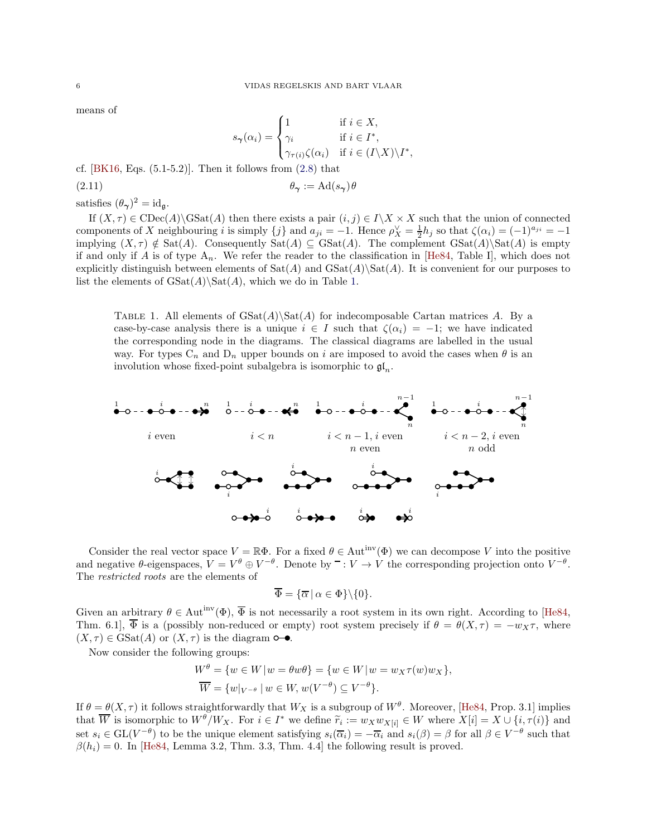means of

<span id="page-5-1"></span>
$$
s_{\gamma}(\alpha_i) = \begin{cases} 1 & \text{if } i \in X, \\ \gamma_i & \text{if } i \in I^*, \\ \gamma_{\tau(i)}\zeta(\alpha_i) & \text{if } i \in (I \setminus X) \setminus I^*, \end{cases}
$$

cf.  $[BK16, Eqs. (5.1-5.2)].$  Then it follows from  $(2.8)$  that

$$
\theta_{\gamma} := \mathrm{Ad}(s_{\gamma})\theta
$$

satisfies  $(\theta_{\gamma})^2 = id_{\mathfrak{g}}$ .

If  $(X, \tau) \in \mathrm{CDec}(A) \backslash \mathrm{GSat}(A)$  then there exists a pair  $(i, j) \in I \backslash X \times X$  such that the union of connected components of X neighbouring i is simply  $\{j\}$  and  $a_{ji} = -1$ . Hence  $\rho_X^{\vee} = \frac{1}{2}h_j$  so that  $\zeta(\alpha_i) = (-1)^{a_{ji}} = -1$ implying  $(X, \tau) \notin \text{Sat}(A)$ . Consequently  $\text{Sat}(A) \subseteq \text{GSat}(A)$ . The complement  $\text{GSat}(A)\$ is empty if and only if A is of type  $A_n$ . We refer the reader to the classification in [\[He84,](#page-15-11) Table I], which does not explicitly distinguish between elements of  $Sat(A)$  and  $GSat(A)\Sat(A)$ . It is convenient for our purposes to list the elements of  $\text{GSat}(A)\$  $\text{Sat}(A)$ , which we do in Table [1.](#page-5-0)

<span id="page-5-0"></span>TABLE 1. All elements of  $\text{GSat}(A)\text{Set}$  for indecomposable Cartan matrices A. By a case-by-case analysis there is a unique  $i \in I$  such that  $\zeta(\alpha_i) = -1$ ; we have indicated the corresponding node in the diagrams. The classical diagrams are labelled in the usual way. For types  $C_n$  and  $D_n$  upper bounds on i are imposed to avoid the cases when  $\theta$  is an involution whose fixed-point subalgebra is isomorphic to  $\mathfrak{gl}_n$ .



Consider the real vector space  $V = \mathbb{R}\Phi$ . For a fixed  $\theta \in \text{Aut}^{\text{inv}}(\Phi)$  we can decompose V into the positive and negative  $\theta$ -eigenspaces,  $V = V^{\theta} \oplus V^{-\theta}$ . Denote by  $\bar{ } : V \to V$  the corresponding projection onto  $V^{-\theta}$ . The *restricted roots* are the elements of

$$
\overline{\Phi} = {\overline{\alpha} \mid \alpha \in \Phi\} \backslash \{0\}.
$$

Given an arbitrary  $\theta \in \text{Aut}^{\text{inv}}(\Phi)$ ,  $\overline{\Phi}$  is not necessarily a root system in its own right. According to [\[He84,](#page-15-11) Thm. 6.1],  $\overline{\Phi}$  is a (possibly non-reduced or empty) root system precisely if  $\theta = \theta(X, \tau) = -w_X \tau$ , where  $(X, \tau) \in \text{GSat}(A)$  or  $(X, \tau)$  is the diagram  $\circ \rightarrow$ .

Now consider the following groups:

$$
W^{\theta} = \{ w \in W \mid w = \theta w \theta \} = \{ w \in W \mid w = w_X \tau(w) w_X \},
$$
  

$$
\overline{W} = \{ w \mid_{V^{-\theta}} \mid w \in W, w(V^{-\theta}) \subseteq V^{-\theta} \}.
$$

If  $\theta = \theta(X, \tau)$  it follows straightforwardly that  $W_X$  is a subgroup of  $W^{\theta}$ . Moreover, [\[He84,](#page-15-11) Prop. 3.1] implies that  $\overline{W}$  is isomorphic to  $W^{\theta}/W_X$ . For  $i \in I^*$  we define  $\widetilde{r}_i := w_X w_{X[i]} \in W$  where  $X[i] = X \cup \{i, \tau(i)\}$  and set  $s_i \in GL(V^{-\theta})$  to be the unique element satisfying  $s_i(\overline{\alpha}_i) = -\overline{\alpha}_i$  and  $s_i(\beta) = \beta$  for all  $\beta \in V^{-\theta}$  such that  $\beta(h_i) = 0$ . In [\[He84,](#page-15-11) Lemma 3.2, Thm. 3.3, Thm. 4.4] the following result is proved.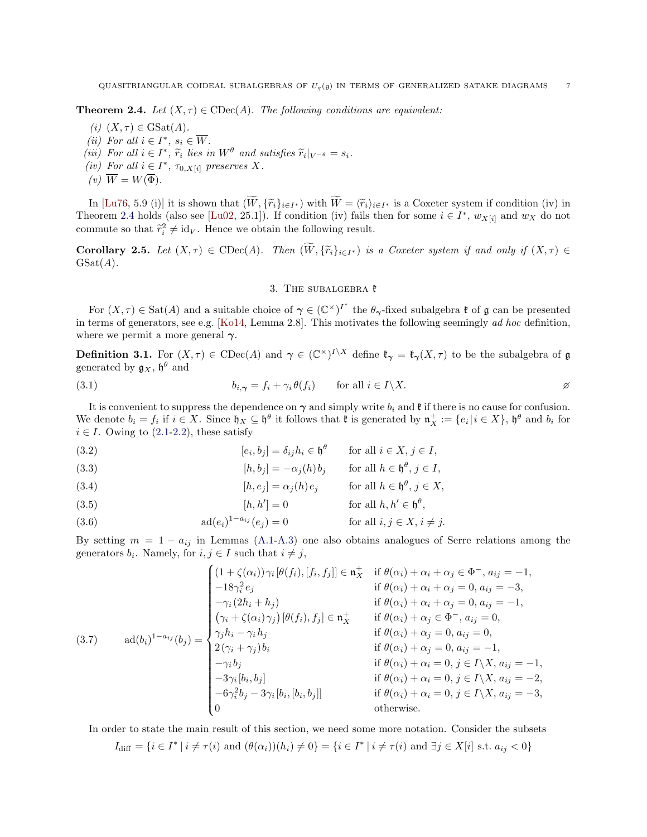<span id="page-6-2"></span>**Theorem 2.4.** *Let*  $(X, \tau) \in \text{CDec}(A)$ *. The following conditions are equivalent:* 

- $(i)$   $(X, \tau) \in \text{GSat}(A)$ .
- *(ii)* For all  $i \in I^*$ ,  $s_i \in \overline{W}$ .
- (*iii*) For all  $i \in I^*$ ,  $\tilde{r}_i$  lies in  $W^{\theta}$  and satisfies  $\tilde{r}_i|_{V^{-\theta}} = s_i$ .<br>(*iii*) For all  $i \in I^*$
- (*iv*) For all  $i \in I^*$ ,  $\tau_{0,X[i]}$  preserves X.
- $(v)$   $\overline{W} = W(\overline{\Phi})$ .

In [\[Lu76,](#page-15-24) 5.9 (i)] it is shown that  $(W, {\{\widetilde{r}_i\}_{i\in I^*}})$  with  $W = {\{\widetilde{r}_i\}_{i\in I^*}}$  is a Coxeter system if condition (iv) in Theorem [2.4](#page-6-2) holds (also see [\[Lu02,](#page-15-25) 25.1]). If condition (iv) fails then for some  $i \in I^*$ ,  $w_{X[i]}$  and  $w_X$  do not commute so that  $\tilde{r}_i^2 \neq \text{id}_V$ . Hence we obtain the following result.

<span id="page-6-10"></span><span id="page-6-0"></span>**Corollary 2.5.** *Let*  $(X, \tau) \in \text{CDec}(A)$ *. Then*  $(W, {\{\widetilde{r}_i\}}_{i \in I^*})$  *is a Coxeter system if and only if*  $(X, \tau) \in$  $GSat(A)$ .

# 3. THE SUBALGEBRA  $k$

For  $(X, \tau) \in \text{Sat}(A)$  and a suitable choice of  $\gamma \in (\mathbb{C}^{\times})^{I^*}$  the  $\theta_{\gamma}$ -fixed subalgebra  $\mathfrak{k}$  of  $\mathfrak{g}$  can be presented in terms of generators, see e.g. [\[Ko14,](#page-15-7) Lemma 2.8]. This motivates the following seemingly *ad hoc* definition, where we permit a more general  $\gamma$ .

<span id="page-6-1"></span>**Definition 3.1.** For  $(X, \tau) \in \text{CDec}(A)$  and  $\gamma \in (\mathbb{C}^{\times})^{I \setminus X}$  define  $\mathfrak{k}_{\gamma} = \mathfrak{k}_{\gamma}(X, \tau)$  to be the subalgebra of g generated by  $\mathfrak{g}_X$ ,  $\mathfrak{h}^\theta$  and

<span id="page-6-7"></span>(3.1) 
$$
b_{i,\gamma} = f_i + \gamma_i \theta(f_i) \quad \text{for all } i \in I \setminus X.
$$

It is convenient to suppress the dependence on  $\gamma$  and simply write  $b_i$  and  $\mathfrak k$  if there is no cause for confusion. We denote  $b_i = f_i$  if  $i \in X$ . Since  $\mathfrak{h}_X \subseteq \mathfrak{h}^\theta$  it follows that  $\mathfrak{k}$  is generated by  $\mathfrak{n}_X^+ := \{e_i | i \in X\}$ ,  $\mathfrak{h}^\theta$  and  $b_i$  for  $i \in I$ . Owing to  $(2.1-2.2)$  $(2.1-2.2)$ , these satisfy

<span id="page-6-6"></span>(3.2) 
$$
[e_i, b_j] = \delta_{ij} h_i \in \mathfrak{h}^\theta \quad \text{for all } i \in X, j \in I,
$$

<span id="page-6-4"></span>(3.3) 
$$
[h, b_j] = -\alpha_j(h)b_j \quad \text{for all } h \in \mathfrak{h}^{\theta}, j \in I,
$$

<span id="page-6-9"></span>(3.4) 
$$
[h, e_j] = \alpha_j(h) e_j \quad \text{for all } h \in \mathfrak{h}^{\theta}, j \in X,
$$

<span id="page-6-5"></span>(3.5) 
$$
[h, h'] = 0 \qquad \text{for all } h, h' \in \mathfrak{h}^{\theta},
$$

<span id="page-6-8"></span>(3.6) 
$$
\operatorname{ad}(e_i)^{1-a_{ij}}(e_j) = 0 \qquad \text{for all } i, j \in X, i \neq j.
$$

By setting  $m = 1 - a_{ij}$  in Lemmas [\(A.1-](#page-13-1)[A.3\)](#page-14-0) one also obtains analogues of Serre relations among the generators  $b_i$ . Namely, for  $i, j \in I$  such that  $i \neq j$ ,

<span id="page-6-3"></span>
$$
(3.7) \quad \text{ad}(b_i)^{1-a_{ij}}(b_j) = \begin{cases} (1+\zeta(\alpha_i))\gamma_i[\theta(f_i), [f_i, f_j]] \in \mathfrak{n}_X^+ & \text{if } \theta(\alpha_i) + \alpha_i + \alpha_j \in \Phi^-, a_{ij} = -1, \\ -18\gamma_i^2 e_j & \text{if } \theta(\alpha_i) + \alpha_i + \alpha_j = 0, a_{ij} = -3, \\ -\gamma_i(2h_i + h_j) & \text{if } \theta(\alpha_i) + \alpha_i + \alpha_j = 0, a_{ij} = -1, \\ (\gamma_i + \zeta(\alpha_i)\gamma_j)[\theta(f_i), f_j] \in \mathfrak{n}_X^+ & \text{if } \theta(\alpha_i) + \alpha_j \in \Phi^-, a_{ij} = 0, \\ \gamma_j h_i - \gamma_i h_j & \text{if } \theta(\alpha_i) + \alpha_j = 0, a_{ij} = 0, \\ 2(\gamma_i + \gamma_j)b_i & \text{if } \theta(\alpha_i) + \alpha_j = 0, a_{ij} = -1, \\ -\gamma_i b_j & \text{if } \theta(\alpha_i) + \alpha_i = 0, j \in I \setminus X, a_{ij} = -1, \\ -3\gamma_i[b_i, b_j] & \text{if } \theta(\alpha_i) + \alpha_i = 0, j \in I \setminus X, a_{ij} = -2, \\ -6\gamma_i^2 b_j - 3\gamma_i[b_i, [b_i, b_j]] & \text{if } \theta(\alpha_i) + \alpha_i = 0, j \in I \setminus X, a_{ij} = -3, \\ 0 & \text{otherwise.} \end{cases}
$$

In order to state the main result of this section, we need some more notation. Consider the subsets

$$
I_{\text{diff}} = \{i \in I^* \mid i \neq \tau(i) \text{ and } (\theta(\alpha_i))(h_i) \neq 0\} = \{i \in I^* \mid i \neq \tau(i) \text{ and } \exists j \in X[i] \text{ s.t. } a_{ij} < 0\}
$$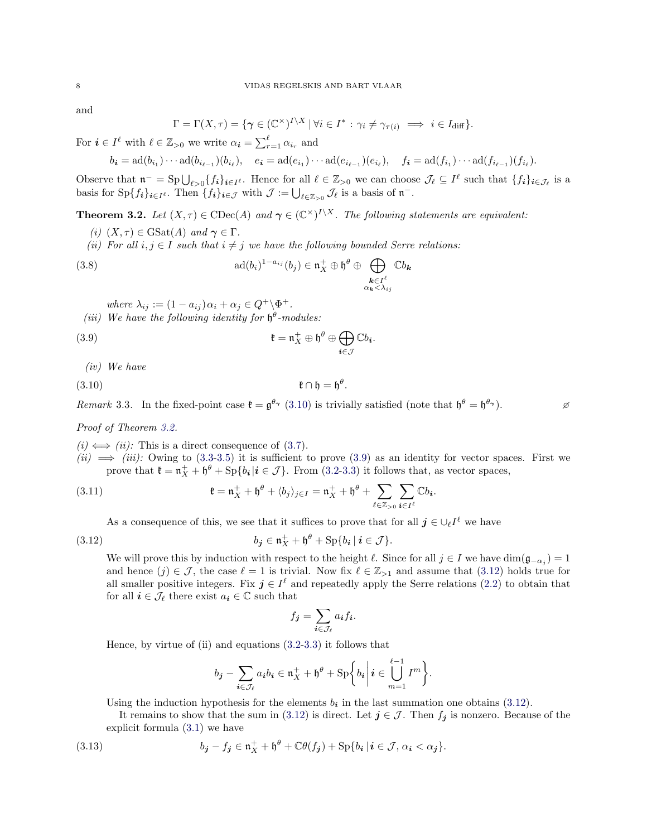and

$$
\Gamma = \Gamma(X, \tau) = \{ \gamma \in (\mathbb{C}^{\times})^{I \setminus X} \mid \forall i \in I^* : \gamma_i \neq \gamma_{\tau(i)} \implies i \in I_{\text{diff}} \}.
$$

For  $i \in I^{\ell}$  with  $\ell \in \mathbb{Z}_{>0}$  we write  $\alpha_i = \sum_{r=1}^{\ell} \alpha_{i_r}$  and

$$
b_{i} = \text{ad}(b_{i_1}) \cdots \text{ad}(b_{i_{\ell-1}})(b_{i_{\ell}}), \quad e_{i} = \text{ad}(e_{i_1}) \cdots \text{ad}(e_{i_{\ell-1}})(e_{i_{\ell}}), \quad f_{i} = \text{ad}(f_{i_1}) \cdots \text{ad}(f_{i_{\ell-1}})(f_{i_{\ell}}).
$$

Observe that  $\mathfrak{n}^- = \mathrm{Sp}\bigcup_{\ell>0} \{f_i\}_{i\in I^{\ell}}$ . Hence for all  $\ell \in \mathbb{Z}_{>0}$  we can choose  $\mathcal{J}_{\ell} \subseteq I^{\ell}$  such that  $\{f_i\}_{i\in \mathcal{J}_{\ell}}$  is a basis for  $\text{Sp}\{f_i\}_{i\in I}$ . Then  $\{f_i\}_{i\in \mathcal{J}}$  with  $\mathcal{J} := \bigcup_{\ell \in \mathbb{Z}_{>0}} \mathcal{J}_\ell$  is a basis of  $\mathfrak{n}^-$ .

<span id="page-7-0"></span>**Theorem 3.2.** Let  $(X, \tau) \in \text{CDec}(A)$  and  $\gamma \in (\mathbb{C}^{\times})^{I \setminus X}$ . The following statements are equivalent:

- *(i)*  $(X, \tau) \in \text{GSat}(A)$  *and*  $\gamma \in \Gamma$ *.*
- *(ii)* For all  $i, j \in I$  *such that*  $i \neq j$  *we have the following bounded Serre relations:*

(3.8) 
$$
\text{ad}(b_i)^{1-a_{ij}}(b_j) \in \mathfrak{n}_X^+ \oplus \mathfrak{h}^\theta \oplus \bigoplus_{\substack{k \in I^\ell \\ \alpha_k < \lambda_{ij}}} \mathbb{C}b_k
$$

<span id="page-7-4"></span><span id="page-7-2"></span><span id="page-7-1"></span>*where*  $\lambda_{ij} := (1 - a_{ij})\alpha_i + \alpha_j \in Q^+ \backslash \Phi^+.$ 

(*iii*) We have the following identity for  $\mathfrak{h}^{\theta}$ -modules:

(3.9) 
$$
\mathfrak{k} = \mathfrak{n}_X^+ \oplus \mathfrak{h}^\theta \oplus \bigoplus_{i \in \mathcal{J}} \mathbb{C} b_i.
$$

*(iv) We have*

$$
\mathfrak{k} \cap \mathfrak{h} = \mathfrak{h}^{\theta}.
$$

*Remark* 3.3. In the fixed-point case  $\mathfrak{k} = \mathfrak{g}^{\theta_{\gamma}}$  [\(3.10\)](#page-7-1) is trivially satisfied (note that  $\mathfrak{h}^{\theta} = \mathfrak{h}^{\theta_{\gamma}}$ ).

*Proof of Theorem [3.2.](#page-7-0)*

 $(i) \Leftrightarrow (ii)$ : This is a direct consequence of [\(3.7\)](#page-6-3).

 $(iii) \implies (iii)$ : Owing to [\(3.3](#page-6-4)[-3.5\)](#page-6-5) it is sufficient to prove [\(3.9\)](#page-7-2) as an identity for vector spaces. First we prove that  $\mathfrak{k} = \mathfrak{n}_X^+ + \mathfrak{h}^\theta + \text{Sp}\{b_i | i \in \mathcal{J}\}\.$  From [\(3.2](#page-6-6)[-3.3\)](#page-6-4) it follows that, as vector spaces,

(3.11) 
$$
\mathfrak{k} = \mathfrak{n}_X^+ + \mathfrak{h}^\theta + \langle b_j \rangle_{j \in I} = \mathfrak{n}_X^+ + \mathfrak{h}^\theta + \sum_{\ell \in \mathbb{Z}_{>0}} \sum_{\mathbf{i} \in I^\ell} \mathbb{C} b_{\mathbf{i}}.
$$

As a consequence of this, we see that it suffices to prove that for all  $j \in \bigcup_{\ell} I^{\ell}$  we have

(3.12) 
$$
b_j \in \mathfrak{n}_X^+ + \mathfrak{h}^\theta + \mathrm{Sp}\{b_i \mid i \in \mathcal{J}\}.
$$

We will prove this by induction with respect to the height  $\ell$ . Since for all  $j \in I$  we have  $\dim(\mathfrak{g}_{-\alpha_j}) = 1$ and hence  $(j) \in \mathcal{J}$ , the case  $\ell = 1$  is trivial. Now fix  $\ell \in \mathbb{Z}_{\geq 1}$  and assume that  $(3.12)$  holds true for all smaller positive integers. Fix  $j \in I^{\ell}$  and repeatedly apply the Serre relations [\(2.2\)](#page-2-2) to obtain that for all  $i \in \mathcal{J}_\ell$  there exist  $a_i \in \mathbb{C}$  such that

<span id="page-7-3"></span>
$$
f_{\boldsymbol{j}} = \sum_{\boldsymbol{i} \in \mathcal{J}_{\ell}} a_{\boldsymbol{i}} f_{\boldsymbol{i}}.
$$

Hence, by virtue of (ii) and equations [\(3.2-](#page-6-6)[3.3\)](#page-6-4) it follows that

$$
b_{\mathbf{j}} - \sum_{\mathbf{i} \in \mathcal{J}_{\ell}} a_{\mathbf{i}} b_{\mathbf{i}} \in \mathfrak{n}_X^+ + \mathfrak{h}^{\theta} + \mathrm{Sp} \bigg\{ b_{\mathbf{i}} \bigg| \mathbf{i} \in \bigcup_{m=1}^{\ell-1} I^m \bigg\}.
$$

Using the induction hypothesis for the elements  $b_i$  in the last summation one obtains [\(3.12\)](#page-7-3).

It remains to show that the sum in [\(3.12\)](#page-7-3) is direct. Let  $j \in \mathcal{J}$ . Then  $f_j$  is nonzero. Because of the explicit formula [\(3.1\)](#page-6-7) we have

(3.13) 
$$
b_{\mathbf{j}} - f_{\mathbf{j}} \in \mathfrak{n}_X^+ + \mathfrak{h}^{\theta} + \mathbb{C}\theta(f_{\mathbf{j}}) + \mathrm{Sp}\{b_{\mathbf{i}} \mid \mathbf{i} \in \mathcal{J}, \alpha_{\mathbf{i}} < \alpha_{\mathbf{j}}\}.
$$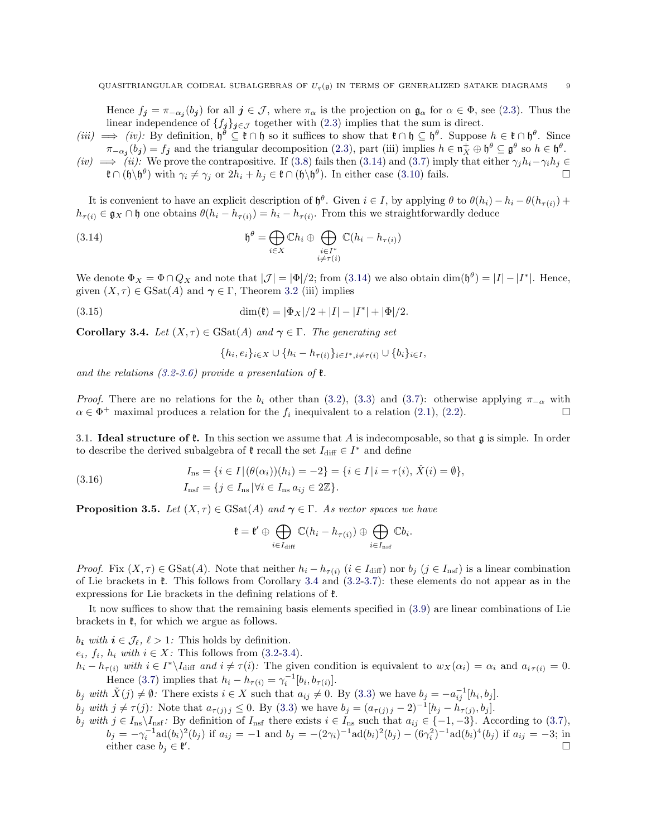Hence  $f_j = \pi_{-\alpha_j}(b_j)$  for all  $j \in \mathcal{J}$ , where  $\pi_\alpha$  is the projection on  $\mathfrak{g}_\alpha$  for  $\alpha \in \Phi$ , see [\(2.3\)](#page-3-0). Thus the linear independence of  ${f_j}_{j\in\mathcal{J}}$  together with [\(2.3\)](#page-3-0) implies that the sum is direct.

- $(iii) \implies (iv)$ : By definition,  $\mathfrak{h}^{\theta} \subseteq \mathfrak{k} \cap \mathfrak{h}$  so it suffices to show that  $\mathfrak{k} \cap \mathfrak{h} \subseteq \mathfrak{h}^{\theta}$ . Suppose  $h \in \mathfrak{k} \cap \mathfrak{h}^{\theta}$ . Since  $\pi_{\alpha_j}(b_j) = f_j$  and the triangular decomposition [\(2.3\)](#page-3-0), part (iii) implies  $h \in \mathfrak{n}_X^+ \oplus \mathfrak{h}^{\theta} \subseteq \mathfrak{g}^{\theta}$  so  $h \in \mathfrak{h}^{\theta}$ .
- $(iv) \implies (ii)$ : We prove the contrapositive. If [\(3.8\)](#page-7-4) fails then [\(3.14\)](#page-8-2) and [\(3.7\)](#page-6-3) imply that either  $\gamma_j h_i \gamma_i h_j \in$  $\mathfrak{k} \cap (\mathfrak{h} \setminus \mathfrak{h}^{\theta})$  with  $\gamma_i \neq \gamma_j$  or  $2h_i + h_j \in \mathfrak{k} \cap (\mathfrak{h} \setminus \mathfrak{h}^{\theta})$ . In either case [\(3.10\)](#page-7-1) fails.

It is convenient to have an explicit description of  $\mathfrak{h}^{\theta}$ . Given  $i \in I$ , by applying  $\theta$  to  $\theta(h_i) - h_i - \theta(h_{\tau(i)}) +$  $h_{\tau(i)} \in \mathfrak{g}_X \cap \mathfrak{h}$  one obtains  $\theta(h_i - h_{\tau(i)}) = h_i - h_{\tau(i)}$ . From this we straightforwardly deduce

(3.14) 
$$
\mathfrak{h}^{\theta} = \bigoplus_{i \in X} \mathbb{C} h_i \oplus \bigoplus_{\substack{i \in I^* \\ i \neq \tau(i)}} \mathbb{C} (h_i - h_{\tau(i)})
$$

We denote  $\Phi_X = \Phi \cap Q_X$  and note that  $|\mathcal{J}| = |\Phi|/2$ ; from [\(3.14\)](#page-8-2) we also obtain  $\dim(\mathfrak{h}^{\theta}) = |I| - |I^*|$ . Hence, given  $(X, \tau) \in \text{GSat}(A)$  and  $\gamma \in \Gamma$ , Theorem [3.2](#page-7-0) (iii) implies

(3.15) 
$$
\dim(\mathfrak{k}) = |\Phi_X|/2 + |I| - |I^*| + |\Phi|/2.
$$

<span id="page-8-3"></span>**Corollary 3.4.** *Let*  $(X, \tau) \in \text{GSat}(A)$  *and*  $\gamma \in \Gamma$ *. The generating set* 

<span id="page-8-4"></span><span id="page-8-2"></span>
$$
\{h_i, e_i\}_{i \in X} \cup \{h_i - h_{\tau(i)}\}_{i \in I^*, i \neq \tau(i)} \cup \{b_i\}_{i \in I},
$$

*and the relations [\(3.2](#page-6-6)[-3.6\)](#page-6-8) provide a presentation of* k*.*

*Proof.* There are no relations for the  $b_i$  other than [\(3.2\)](#page-6-6), [\(3.3\)](#page-6-4) and [\(3.7\)](#page-6-3): otherwise applying  $\pi_{-\alpha}$  with  $\alpha \in \Phi^+$  maximal produces a relation for the  $f_i$  inequivalent to a relation [\(2.1\)](#page-2-1), [\(2.2\)](#page-2-2).

3.1. **Ideal structure of f.** In this section we assume that A is indecomposable, so that  $\boldsymbol{\mathfrak{g}}$  is simple. In order to describe the derived subalgebra of  $\mathfrak k$  recall the set  $I_{\text{diff}} \in I^*$  and define

(3.16) 
$$
I_{\text{ns}} = \{i \in I | (\theta(\alpha_i))(h_i) = -2\} = \{i \in I | i = \tau(i), \check{X}(i) = \emptyset\},
$$

$$
I_{\text{nsf}} = \{j \in I_{\text{ns}} | \forall i \in I_{\text{ns}} a_{ij} \in 2\mathbb{Z}\}.
$$

<span id="page-8-1"></span>**Proposition 3.5.** *Let*  $(X, \tau) \in \text{GSat}(A)$  *and*  $\gamma \in \Gamma$ *. As vector spaces we have* 

<span id="page-8-0"></span>
$$
\mathfrak{k}=\mathfrak{k}'\oplus\bigoplus_{i\in I_{\text{diff}}}\mathbb{C}(h_i-h_{\tau(i)})\oplus\bigoplus_{i\in I_{\text{nsf}}}\mathbb{C}b_i.
$$

*Proof.* Fix  $(X, \tau) \in \text{GSat}(A)$ . Note that neither  $h_i - h_{\tau(i)}$  ( $i \in I_{\text{diff}}$ ) nor  $b_j$  ( $j \in I_{\text{nsf}}$ ) is a linear combination of Lie brackets in k. This follows from Corollary [3.4](#page-8-3) and [\(3.2](#page-6-6)[-3.7\)](#page-6-3): these elements do not appear as in the expressions for Lie brackets in the defining relations of k.

It now suffices to show that the remaining basis elements specified in [\(3.9\)](#page-7-2) are linear combinations of Lie brackets in  $\mathfrak{k}$ , for which we argue as follows.

 $b_i$  *with*  $i \in \mathcal{J}_\ell$ ,  $\ell > 1$ : This holds by definition.

 $e_i, f_i, h_i$  *with*  $i \in X$ : This follows from  $(3.2-3.4)$  $(3.2-3.4)$ .

 $h_i - h_{\tau(i)}$  with  $i \in I^* \backslash I_{\text{diff}}$  and  $i \neq \tau(i)$ : The given condition is equivalent to  $w_X(\alpha_i) = \alpha_i$  and  $a_{i \tau(i)} = 0$ . Hence [\(3.7\)](#page-6-3) implies that  $h_i - h_{\tau(i)} = \gamma_i^{-1} [b_i, b_{\tau(i)}].$ 

 $b_j$  with  $\check{X}(j) \neq \emptyset$ : There exists  $i \in X$  such that  $a_{ij} \neq 0$ . By [\(3.3\)](#page-6-4) we have  $b_j = -a_{ij}^{-1}[h_i, b_j]$ .

 $b_j \text{ with } j \neq \tau(j)$ : Note that  $a_{\tau(j)j} \leq 0$ . By [\(3.3\)](#page-6-4) we have  $b_j = (a_{\tau(j)j} - 2)^{-1} [h_j - h_{\tau(j)}, b_j]$ .

 $b_j$  *with*  $j \in I_{ns} \setminus I_{nsf}$ : By definition of  $I_{nsf}$  there exists  $i \in I_{ns}$  such that  $a_{ij} \in \{-1, -3\}$ . According to [\(3.7\)](#page-6-3),  $b_j = -\gamma_i^{-1} \text{ad}(b_i)^2 (b_j)$  if  $a_{ij} = -1$  and  $b_j = -(2\gamma_i)^{-1} \text{ad}(b_i)^2 (b_j) - (6\gamma_i^2)^{-1} \text{ad}(b_i)^4 (b_j)$  if  $a_{ij} = -3$ ; in either case  $b_j \in \mathfrak{k}'$ .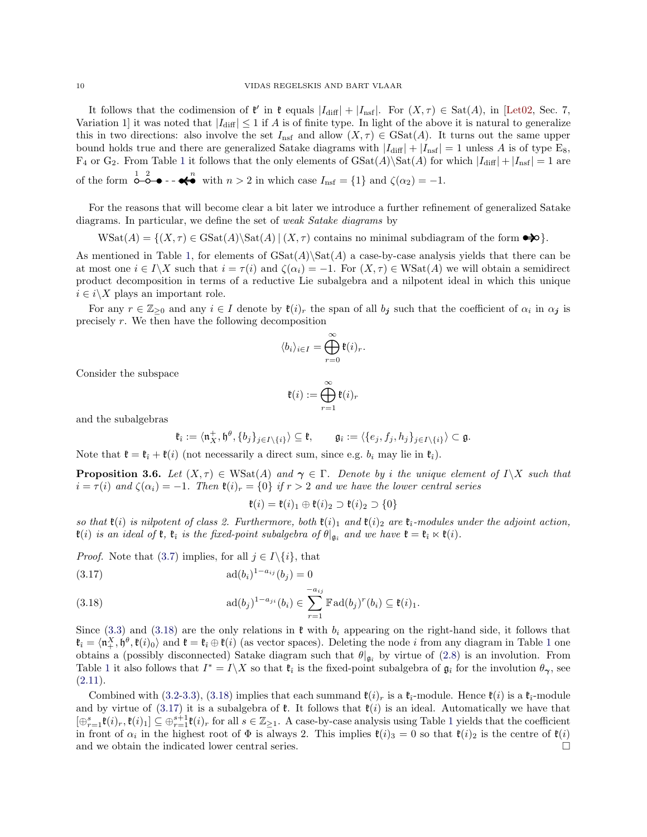It follows that the codimension of  $\mathfrak{k}'$  in  $\mathfrak{k}$  equals  $|I_{\text{diff}}| + |I_{\text{nsf}}|$ . For  $(X, \tau) \in \text{Sat}(A)$ , in [\[Let02,](#page-15-6) Sec. 7, Variation 1] it was noted that  $|I_{diff}| \leq 1$  if A is of finite type. In light of the above it is natural to generalize this in two directions: also involve the set  $I_{\text{nsf}}$  and allow  $(X, \tau) \in \text{GSat}(A)$ . It turns out the same upper bound holds true and there are generalized Satake diagrams with  $|I_{\text{diff}}| + |I_{\text{nsf}}| = 1$  unless A is of type E<sub>8</sub>,  $F_4$  or  $G_2$ . From Table [1](#page-5-0) it follows that the only elements of  $GSat(A)\Sat(A)$  for which  $|I_{diff}| + |I_{nsf}| = 1$  are of the form  $\overline{O}$   $\overline{O}$   $\bullet$  -  $\overline{\bullet}$  with  $n > 2$  in which case  $I_{\text{nsf}} = \{1\}$  and  $\zeta(\alpha_2) = -1$ .

For the reasons that will become clear a bit later we introduce a further refinement of generalized Satake diagrams. In particular, we define the set of *weak Satake diagrams* by

 $\text{WSat}(A) = \{(X, \tau) \in \text{GSat}(A) \setminus \text{Sat}(A) \mid (X, \tau) \text{ contains no minimal subdiagram of the form } \rightarrow \infty\}.$ 

As mentioned in Table [1,](#page-5-0) for elements of  $\text{GSat}(A)$  a case-by-case analysis yields that there can be at most one  $i \in I\backslash X$  such that  $i = \tau(i)$  and  $\zeta(\alpha_i) = -1$ . For  $(X, \tau) \in \text{WSat}(A)$  we will obtain a semidirect product decomposition in terms of a reductive Lie subalgebra and a nilpotent ideal in which this unique  $i \in i \backslash X$  plays an important role.

For any  $r \in \mathbb{Z}_{\geq 0}$  and any  $i \in I$  denote by  $\mathfrak{k}(i)_r$  the span of all  $b_j$  such that the coefficient of  $\alpha_i$  in  $\alpha_j$  is precisely r. We then have the following decomposition

$$
\langle b_i \rangle_{i \in I} = \bigoplus_{r=0}^{\infty} \mathfrak{k}(i)_r.
$$

Consider the subspace

$$
\mathfrak{k}(i) := \bigoplus_{r=1}^\infty \mathfrak{k}(i)_r
$$

and the subalgebras

$$
\mathfrak{k}_{\hat{\imath}} := \langle \mathfrak{n}_X^+, \mathfrak{h}^{\theta}, \{b_j\}_{j \in I \setminus \{i\}} \rangle \subseteq \mathfrak{k}, \qquad \mathfrak{g}_{\hat{\imath}} := \langle \{e_j, f_j, h_j\}_{j \in I \setminus \{i\}} \rangle \subset \mathfrak{g}.
$$

Note that  $\mathfrak{k} = \mathfrak{k}_i + \mathfrak{k}(i)$  (not necessarily a direct sum, since e.g.  $b_i$  may lie in  $\mathfrak{k}_i$ ).

<span id="page-9-0"></span>**Proposition 3.6.** *Let*  $(X, \tau) \in \text{WSat}(A)$  *and*  $\gamma \in \Gamma$ *. Denote by i the unique element of*  $I \setminus X$  *such that*  $i = \tau(i)$  and  $\zeta(\alpha_i) = -1$ . Then  $\mathfrak{k}(i)_r = \{0\}$  if  $r > 2$  and we have the lower central series

$$
\mathfrak{k}(i) = \mathfrak{k}(i)_1 \oplus \mathfrak{k}(i)_2 \supset \mathfrak{k}(i)_2 \supset \{0\}
$$

*so that*  $\mathfrak{k}(i)$  *is nilpotent of class 2. Furthermore, both*  $\mathfrak{k}(i)_1$  *and*  $\mathfrak{k}(i)_2$  *are*  $\mathfrak{k}_i$ -modules under the adjoint action,  $\mathfrak{k}(i)$  *is an ideal of*  $\mathfrak{k}, \mathfrak{k}_i$  *is the fixed-point subalgebra of*  $\theta|_{\mathfrak{g}_i}$  *and we have*  $\mathfrak{k} = \mathfrak{k}_i \ltimes \mathfrak{k}(i)$ *.* 

*Proof.* Note that [\(3.7\)](#page-6-3) implies, for all  $j \in I \setminus \{i\}$ , that

<span id="page-9-2"></span>(3.17) 
$$
ad(b_i)^{1-a_{ij}}(b_j) = 0
$$

<span id="page-9-1"></span>(3.18) 
$$
\text{ad}(b_j)^{1-a_{ji}}(b_i) \in \sum_{r=1}^{-a_{ij}} \mathbb{F}\text{ad}(b_j)^r(b_i) \subseteq \mathfrak{k}(i)_1.
$$

Since [\(3.3\)](#page-6-4) and [\(3.18\)](#page-9-1) are the only relations in  $\mathfrak k$  with  $b_i$  appearing on the right-hand side, it follows that  $\mathfrak{k}_{\hat{i}} = \langle \mathfrak{n}^X_+, \mathfrak{h}^\theta, \mathfrak{k}(i)_0 \rangle$  and  $\mathfrak{k} = \mathfrak{k}_{\hat{i}} \oplus \mathfrak{k}(i)$  (as vector spaces). Deleting the node i from any diagram in Table [1](#page-5-0) one obtains a (possibly disconnected) Satake diagram such that  $\theta|_{\mathfrak{g}_i}$  by virtue of [\(2.8\)](#page-4-3) is an involution. From Table [1](#page-5-0) it also follows that  $I^* = I \setminus X$  so that  $\mathfrak{k}_i$  is the fixed-point subalgebra of  $\mathfrak{g}_i$  for the involution  $\theta_{\gamma}$ , see  $(2.11).$  $(2.11).$ 

Combined with [\(3.2-](#page-6-6)[3.3\)](#page-6-4), [\(3.18\)](#page-9-1) implies that each summand  $\mathfrak{t}(i)_r$  is a  $\mathfrak{k}_i$ -module. Hence  $\mathfrak{k}(i)$  is a  $\mathfrak{k}_i$ -module and by virtue of  $(3.17)$  it is a subalgebra of  $\ell$ . It follows that  $\ell(i)$  is an ideal. Automatically we have that  $[\oplus_{r=1}^s \mathfrak{k}(i)_r, \mathfrak{k}(i)_1] \subseteq \oplus_{r=1}^{s+1} \mathfrak{k}(i)_r$  $[\oplus_{r=1}^s \mathfrak{k}(i)_r, \mathfrak{k}(i)_1] \subseteq \oplus_{r=1}^{s+1} \mathfrak{k}(i)_r$  $[\oplus_{r=1}^s \mathfrak{k}(i)_r, \mathfrak{k}(i)_1] \subseteq \oplus_{r=1}^{s+1} \mathfrak{k}(i)_r$  for all  $s \in \mathbb{Z}_{\geq 1}$ . A case-by-case analysis using Table 1 yields that the coefficient in front of  $\alpha_i$  in the highest root of  $\Phi$  is always 2. This implies  $\mathfrak{k}(i)_3 = 0$  so that  $\mathfrak{k}(i)_2$  is the centre of  $\mathfrak{k}(i)$ and we obtain the indicated lower central series.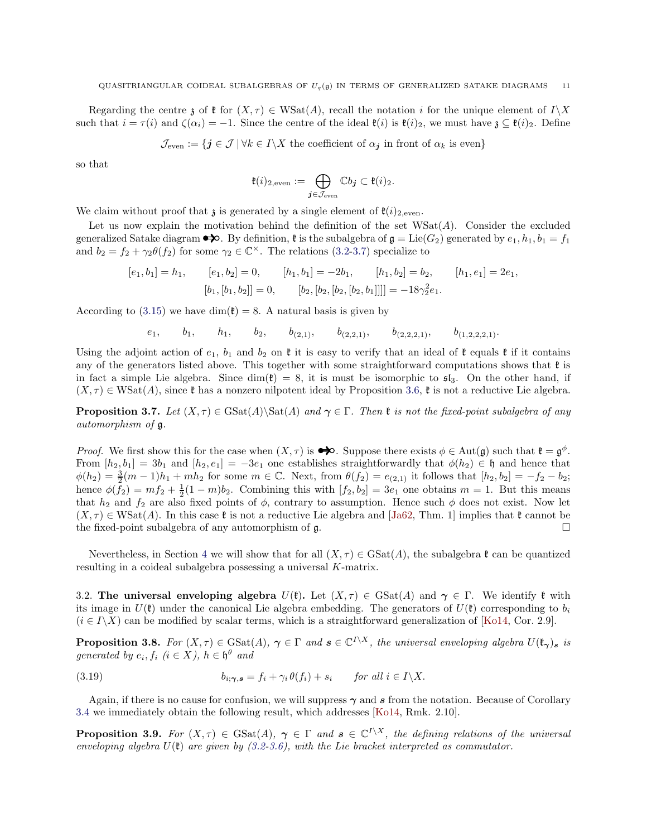Regarding the centre z of  $\mathfrak{k}$  for  $(X, \tau) \in \text{WSat}(A)$ , recall the notation i for the unique element of  $I\setminus X$ such that  $i = \tau(i)$  and  $\zeta(\alpha_i) = -1$ . Since the centre of the ideal  $\mathfrak{k}(i)$  is  $\mathfrak{k}(i)_2$ , we must have  $\zeta \subseteq \mathfrak{k}(i)_2$ . Define

 $\mathcal{J}_{\text{even}} := \{ \mathbf{j} \in \mathcal{J} \, | \, \forall k \in I \setminus X \text{ the coefficient of } \alpha_{\mathbf{j}} \text{ in front of } \alpha_k \text{ is even} \}$ 

so that

$$
\mathfrak{k}(i)_{2,\text{even}} := \bigoplus_{\textbf{\textit{j}} \in \mathcal{J}_{\text{even}}} \mathbb{C} b_{\textbf{\textit{j}}} \subset \mathfrak{k}(i)_2.
$$

We claim without proof that  $\chi$  is generated by a single element of  $\mathfrak{k}(i)_{2,\text{even}}$ .

Let us now explain the motivation behind the definition of the set  $W\text{Sat}(A)$ . Consider the excluded generalized Satake diagram  $\bullet\bullet$ . By definition,  $\mathfrak k$  is the subalgebra of  $\mathfrak g = \text{Lie}(G_2)$  generated by  $e_1, h_1, b_1 = f_1$ and  $b_2 = f_2 + \gamma_2 \theta(f_2)$  for some  $\gamma_2 \in \mathbb{C}^\times$ . The relations [\(3.2-](#page-6-6)[3.7\)](#page-6-3) specialize to

$$
[e_1, b_1] = h_1, \t [e_1, b_2] = 0, \t [h_1, b_1] = -2b_1, \t [h_1, b_2] = b_2, \t [h_1, e_1] = 2e_1,
$$
  

$$
[b_1, [b_1, b_2]] = 0, \t [b_2, [b_2, [b_2, b_1]]]] = -18\gamma_2^2 e_1.
$$

According to [\(3.15\)](#page-8-4) we have dim( $\mathfrak{k}$ ) = 8. A natural basis is given by

 $e_1,$   $b_1,$   $h_1,$   $b_2,$   $b_{(2,1)},$   $b_{(2,2,1)},$   $b_{(2,2,2,1)},$   $b_{(1,2,2,2,1)}.$ 

Using the adjoint action of  $e_1$ ,  $b_1$  and  $b_2$  on  $\ell$  it is easy to verify that an ideal of  $\ell$  equals  $\ell$  if it contains any of the generators listed above. This together with some straightforward computations shows that  $\mathfrak k$  is in fact a simple Lie algebra. Since  $\dim(\mathfrak{k}) = 8$ , it is must be isomorphic to  $\mathfrak{sl}_3$ . On the other hand, if  $(X, \tau) \in \text{WSat}(A)$ , since  $\mathfrak k$  has a nonzero nilpotent ideal by Proposition [3.6,](#page-9-0)  $\mathfrak k$  is not a reductive Lie algebra.

**Proposition 3.7.** *Let*  $(X, \tau) \in \text{GSat}(A) \$ and  $\gamma \in \Gamma$ *. Then*  $\mathfrak{k}$  *is not the fixed-point subalgebra of any automorphism of* g*.*

*Proof.* We first show this for the case when  $(X, \tau)$  is  $\bigotimes$ . Suppose there exists  $\phi \in Aut(\mathfrak{g})$  such that  $\mathfrak{k} = \mathfrak{g}^{\phi}$ . From  $[h_2, b_1] = 3b_1$  and  $[h_2, e_1] = -3e_1$  one establishes straightforwardly that  $\phi(h_2) \in \mathfrak{h}$  and hence that  $\phi(h_2) = \frac{3}{2}(m-1)h_1 + mh_2$  for some  $m \in \mathbb{C}$ . Next, from  $\theta(f_2) = e_{(2,1)}$  it follows that  $[h_2, b_2] = -f_2 - b_2$ ; hence  $\phi(f_2) = mf_2 + \frac{1}{2}(1-m)b_2$ . Combining this with  $[f_2, b_2] = 3e_1$  one obtains  $m = 1$ . But this means that  $h_2$  and  $f_2$  are also fixed points of  $\phi$ , contrary to assumption. Hence such  $\phi$  does not exist. Now let  $(X, \tau) \in \text{WSat}(A)$ . In this case  $\mathfrak{k}$  is not a reductive Lie algebra and [\[Ja62,](#page-15-26) Thm. 1] implies that  $\mathfrak{k}$  cannot be the fixed-point subalgebra of any automorphism of  $\mathfrak{g}$ .

Nevertheless, in Section [4](#page-11-0) we will show that for all  $(X, \tau) \in \text{GSat}(A)$ , the subalgebra  $\mathfrak{k}$  can be quantized resulting in a coideal subalgebra possessing a universal K-matrix.

3.2. The universal enveloping algebra  $U(\mathfrak{k})$ . Let  $(X,\tau) \in \text{GSat}(A)$  and  $\gamma \in \Gamma$ . We identify  $\mathfrak{k}$  with its image in  $U(\mathfrak{k})$  under the canonical Lie algebra embedding. The generators of  $U(\mathfrak{k})$  corresponding to  $b_i$  $(i \in I\backslash X)$  can be modified by scalar terms, which is a straightforward generalization of [\[Ko14,](#page-15-7) Cor. 2.9].

**Proposition 3.8.** *For*  $(X, \tau) \in \text{GSat}(A)$ ,  $\gamma \in \Gamma$  and  $s \in \mathbb{C}^{I \setminus X}$ , the universal enveloping algebra  $U(\mathfrak{k}_{\gamma})_s$  is *generated by*  $e_i, f_i$  ( $i \in X$ ),  $h \in \mathfrak{h}^{\theta}$  and

(3.19) 
$$
b_{i; \gamma, s} = f_i + \gamma_i \theta(f_i) + s_i \quad \text{for all } i \in I \setminus X.
$$

Again, if there is no cause for confusion, we will suppress  $\gamma$  and s from the notation. Because of Corollary [3.4](#page-8-3) we immediately obtain the following result, which addresses [\[Ko14,](#page-15-7) Rmk. 2.10].

**Proposition 3.9.** For  $(X, \tau) \in \text{GSat}(A)$ ,  $\gamma \in \Gamma$  and  $s \in \mathbb{C}^{I \setminus X}$ , the defining relations of the universal *enveloping algebra*  $U(\mathfrak{k})$  *are given by*  $(3.2-3.6)$  $(3.2-3.6)$ *, with the Lie bracket interpreted as commutator.*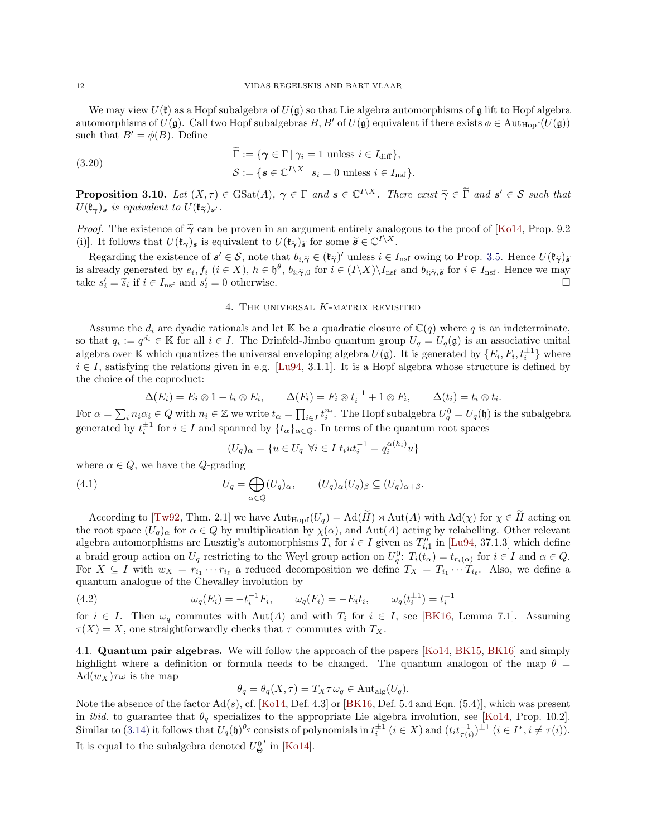We may view  $U(\mathfrak{k})$  as a Hopf subalgebra of  $U(\mathfrak{g})$  so that Lie algebra automorphisms of  $\mathfrak{g}$  lift to Hopf algebra automorphisms of  $U(\mathfrak{g})$ . Call two Hopf subalgebras  $B, B'$  of  $U(\mathfrak{g})$  equivalent if there exists  $\phi \in \text{Aut}_{\text{Hopf}}(U(\mathfrak{g}))$ such that  $B' = \phi(B)$ . Define

(3.20)  
\n
$$
\widetilde{\Gamma} := \{ \gamma \in \Gamma \mid \gamma_i = 1 \text{ unless } i \in I_{\text{diff}} \},
$$
\n
$$
\mathcal{S} := \{ \mathbf{s} \in \mathbb{C}^{I \setminus X} \mid s_i = 0 \text{ unless } i \in I_{\text{nsf}} \}.
$$

**Proposition 3.10.** *Let*  $(X, \tau) \in \text{GSat}(A)$ ,  $\gamma \in \Gamma$  *and*  $s \in \mathbb{C}^{I \setminus X}$ . There exist  $\widetilde{\gamma} \in \widetilde{\Gamma}$  *and*  $s' \in S$  *such that*  $U(\mathfrak{k}_{\gamma})_{s}$  *is equivalent to*  $U(\mathfrak{k}_{\widetilde{\gamma}})_{s'}$ *.* 

*Proof.* The existence of  $\tilde{\gamma}$  can be proven in an argument entirely analogous to the proof of [\[Ko14,](#page-15-7) Prop. 9.2] (i)]. It follows that  $U(\mathfrak{k}_{\gamma})_s$  is equivalent to  $U(\mathfrak{k}_{\tilde{\gamma}})_{\tilde{s}}$  for some  $\tilde{s} \in \mathbb{C}^{I \setminus X}$ .

Regarding the existence of  $s' \in S$ , note that  $b_{i,\widetilde{\gamma}} \in (\mathfrak{k}_{\widetilde{\gamma}})'$  unless  $i \in I_{\text{nsf}}$  owing to Prop. [3.5.](#page-8-1) Hence  $U(\mathfrak{k}_{\widetilde{\gamma}})_{\widetilde{s}}$ is already generated by  $e_i, f_i$   $(i \in X)$ ,  $h \in \mathfrak{h}^{\theta}, b_{i, \tilde{\gamma}, 0}$  for  $i \in (I \setminus X) \setminus I_{\text{nsf}}$  and  $b_{i, \tilde{\gamma}, \tilde{\mathfrak{s}}}$  for  $i \in I_{\text{nsf}}$ . Hence we may take  $s'_i = \tilde{s}_i$  if  $i \in I_{\text{nsf}}$  and  $s'_i = 0$  otherwise.

### 4. The universal K-matrix revisited

<span id="page-11-0"></span>Assume the  $d_i$  are dyadic rationals and let K be a quadratic closure of  $\mathbb{C}(q)$  where q is an indeterminate, so that  $q_i := q^{d_i} \in \mathbb{K}$  for all  $i \in I$ . The Drinfeld-Jimbo quantum group  $U_q = U_q(\mathfrak{g})$  is an associative unital algebra over K which quantizes the universal enveloping algebra  $U(\mathfrak{g})$ . It is generated by  $\{E_i, F_i, t_i^{\pm 1}\}\$  where  $i \in I$ , satisfying the relations given in e.g. [\[Lu94,](#page-15-13) 3.1.1]. It is a Hopf algebra whose structure is defined by the choice of the coproduct:

$$
\Delta(E_i) = E_i \otimes 1 + t_i \otimes E_i, \qquad \Delta(F_i) = F_i \otimes t_i^{-1} + 1 \otimes F_i, \qquad \Delta(t_i) = t_i \otimes t_i.
$$

For  $\alpha = \sum_i n_i \alpha_i \in Q$  with  $n_i \in \mathbb{Z}$  we write  $t_\alpha = \prod_{i \in I} t_i^{n_i}$ . The Hopf subalgebra  $U_q^0 = U_q(\mathfrak{h})$  is the subalgebra generated by  $t_i^{\pm 1}$  for  $i \in I$  and spanned by  $\{t_\alpha\}_{\alpha \in Q}$ . In terms of the quantum root spaces

$$
(U_q)_{\alpha} = \{ u \in U_q \, | \, \forall i \in I \, t_i u t_i^{-1} = q_i^{\alpha(h_i)} u \}
$$

where  $\alpha \in Q$ , we have the *Q*-grading

(4.1) 
$$
U_q = \bigoplus_{\alpha \in Q} (U_q)_{\alpha}, \qquad (U_q)_{\alpha} (U_q)_{\beta} \subseteq (U_q)_{\alpha + \beta}.
$$

According to [\[Tw92,](#page-15-27) Thm. 2.1] we have  $\text{Aut}_{\text{Hopf}}(U_q) = \text{Ad}(\widetilde{H}) \rtimes \text{Aut}(A)$  with  $\text{Ad}(\chi)$  for  $\chi \in \widetilde{H}$  acting on the root space  $(U_q)_{\alpha}$  for  $\alpha \in Q$  by multiplication by  $\chi(\alpha)$ , and  $\text{Aut}(A)$  acting by relabelling. Other relevant algebra automorphisms are Lusztig's automorphisms  $T_i$  for  $i \in I$  given as  $T''_{i,1}$  in [\[Lu94,](#page-15-13) 37.1.3] which define a braid group action on  $U_q$  restricting to the Weyl group action on  $U_q^0$ :  $T_i(t_\alpha) = t_{r_i(\alpha)}$  for  $i \in I$  and  $\alpha \in Q$ . For  $X \subseteq I$  with  $w_X = r_{i_1} \cdots r_{i_\ell}$  a reduced decomposition we define  $T_X = T_{i_1} \cdots T_{i_\ell}$ . Also, we define a quantum analogue of the Chevalley involution by

(4.2) 
$$
\omega_q(E_i) = -t_i^{-1} F_i, \qquad \omega_q(F_i) = -E_i t_i, \qquad \omega_q(t_i^{\pm 1}) = t_i^{\mp 1}
$$

for  $i \in I$ . Then  $\omega_q$  commutes with Aut(A) and with  $T_i$  for  $i \in I$ , see [\[BK16,](#page-15-8) Lemma 7.1]. Assuming  $\tau(X) = X$ , one straightforwardly checks that  $\tau$  commutes with  $T_X$ .

4.1. Quantum pair algebras. We will follow the approach of the papers [\[Ko14,](#page-15-7) [BK15,](#page-15-10) [BK16\]](#page-15-8) and simply highlight where a definition or formula needs to be changed. The quantum analogon of the map  $\theta =$  $\text{Ad}(w_X)\tau\omega$  is the map

$$
\theta_q = \theta_q(X, \tau) = T_X \tau \omega_q \in \text{Aut}_{\text{alg}}(U_q).
$$

Note the absence of the factor  $Ad(s)$ , cf. [\[Ko14,](#page-15-7) Def. 4.3] or [\[BK16,](#page-15-8) Def. 5.4 and Eqn. (5.4)], which was present in *ibid.* to guarantee that  $\theta_q$  specializes to the appropriate Lie algebra involution, see [\[Ko14,](#page-15-7) Prop. 10.2]. Similar to [\(3.14\)](#page-8-2) it follows that  $U_q(\mathfrak{h})^{\theta_q}$  consists of polynomials in  $t_i^{\pm 1}$   $(i \in X)$  and  $(t_i t_{\tau(i)}^{-1})^{\pm 1}$   $(i \in I^*, i \neq \tau(i))$ . It is equal to the subalgebra denoted  $U^0_{\Theta}$  $'$  in [\[Ko14\]](#page-15-7).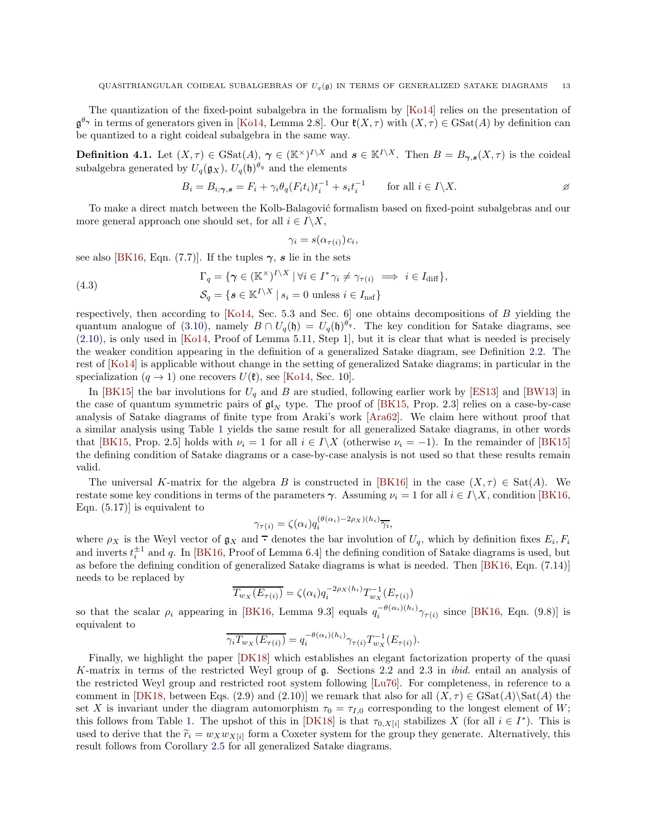The quantization of the fixed-point subalgebra in the formalism by [\[Ko14\]](#page-15-7) relies on the presentation of  $\mathfrak{g}^{\theta_{\gamma}}$  in terms of generators given in [\[Ko14,](#page-15-7) Lemma 2.8]. Our  $\mathfrak{k}(X,\tau)$  with  $(X,\tau) \in \text{GSat}(A)$  by definition can be quantized to a right coideal subalgebra in the same way.

<span id="page-12-0"></span>**Definition 4.1.** Let  $(X, \tau) \in \text{GSat}(A)$ ,  $\gamma \in (\mathbb{K}^{\times})^{I \setminus X}$  and  $s \in \mathbb{K}^{I \setminus X}$ . Then  $B = B_{\gamma,s}(X, \tau)$  is the coideal subalgebra generated by  $U_q(\mathfrak{g}_X)$ ,  $U_q(\mathfrak{h})^{\theta_q}$  and the elements

$$
B_i = B_{i; \gamma, s} = F_i + \gamma_i \theta_q (F_i t_i) t_i^{-1} + s_i t_i^{-1} \qquad \text{for all } i \in I \setminus X.
$$

To make a direct match between the Kolb-Balagović formalism based on fixed-point subalgebras and our more general approach one should set, for all  $i \in I \backslash X$ ,

<span id="page-12-1"></span>
$$
\gamma_i = s(\alpha_{\tau(i)})c_i,
$$

see also [\[BK16,](#page-15-8) Eqn. (7.7)]. If the tuples  $\gamma$ , s lie in the sets

(4.3) 
$$
\Gamma_q = \{ \gamma \in (\mathbb{K}^{\times})^{I \setminus X} \mid \forall i \in I^* \gamma_i \neq \gamma_{\tau(i)} \implies i \in I_{\text{diff}} \},
$$

$$
\mathcal{S}_q = \{ \mathbf{s} \in \mathbb{K}^{I \setminus X} \mid s_i = 0 \text{ unless } i \in I_{\text{nsf}} \}
$$

respectively, then according to [\[Ko14,](#page-15-7) Sec. 5.3 and Sec. 6] one obtains decompositions of B yielding the quantum analogue of [\(3.10\)](#page-7-1), namely  $B \cap U_q(\mathfrak{h}) = U_q(\mathfrak{h})^{\theta_q}$ . The key condition for Satake diagrams, see [\(2.10\)](#page-4-4), is only used in [\[Ko14,](#page-15-7) Proof of Lemma 5.11, Step 1], but it is clear that what is needed is precisely the weaker condition appearing in the definition of a generalized Satake diagram, see Definition [2.2.](#page-4-0) The rest of [\[Ko14\]](#page-15-7) is applicable without change in the setting of generalized Satake diagrams; in particular in the specialization  $(q \rightarrow 1)$  one recovers  $U(\mathfrak{k})$ , see [\[Ko14,](#page-15-7) Sec. 10].

In [\[BK15\]](#page-15-10) the bar involutions for  $U_q$  and B are studied, following earlier work by [\[ES13\]](#page-15-28) and [\[BW13\]](#page-15-16) in the case of quantum symmetric pairs of  $\mathfrak{gl}_N$  type. The proof of [\[BK15,](#page-15-10) Prop. 2.3] relies on a case-by-case analysis of Satake diagrams of finite type from Araki's work [\[Ara62\]](#page-15-1). We claim here without proof that a similar analysis using Table [1](#page-5-0) yields the same result for all generalized Satake diagrams, in other words that [\[BK15,](#page-15-10) Prop. 2.5] holds with  $\nu_i = 1$  for all  $i \in I\backslash X$  (otherwise  $\nu_i = -1$ ). In the remainder of [\[BK15\]](#page-15-10) the defining condition of Satake diagrams or a case-by-case analysis is not used so that these results remain valid.

The universal K-matrix for the algebra B is constructed in [\[BK16\]](#page-15-8) in the case  $(X, \tau) \in \text{Sat}(A)$ . We restate some key conditions in terms of the parameters  $\gamma$ . Assuming  $\nu_i = 1$  for all  $i \in I \setminus X$ , condition [\[BK16,](#page-15-8) Eqn. (5.17)] is equivalent to

$$
\gamma_{\tau(i)} = \zeta(\alpha_i) q_i^{(\theta(\alpha_i) - 2\rho_X)(h_i)} \overline{\gamma_i},
$$

where  $\rho_X$  is the Weyl vector of  $\mathfrak{g}_X$  and  $\overline{\cdot}$  denotes the bar involution of  $U_q$ , which by definition fixes  $E_i, F_i$ and inverts  $t_i^{\pm 1}$  and q. In [\[BK16,](#page-15-8) Proof of Lemma 6.4] the defining condition of Satake diagrams is used, but as before the defining condition of generalized Satake diagrams is what is needed. Then [\[BK16,](#page-15-8) Eqn. (7.14)] needs to be replaced by

$$
\overline{T_{w_X}(E_{\tau(i)})} = \zeta(\alpha_i) q_i^{-2\rho_X(h_i)} T_{w_X}^{-1}(E_{\tau(i)})
$$

so that the scalar  $\rho_i$  appearing in [\[BK16,](#page-15-8) Lemma 9.3] equals  $q_i^{-\theta(\alpha_i)(h_i)}\gamma_{\tau(i)}$  since [BK16, Eqn. (9.8)] is equivalent to

$$
\overline{\gamma_i T_{w_X}(E_{\tau(i)})} = q_i^{-\theta(\alpha_i)(h_i)} \gamma_{\tau(i)} T_{w_X}^{-1}(E_{\tau(i)}).
$$

Finally, we highlight the paper [\[DK18\]](#page-15-18) which establishes an elegant factorization property of the quasi K-matrix in terms of the restricted Weyl group of g. Sections 2.2 and 2.3 in *ibid.* entail an analysis of the restricted Weyl group and restricted root system following [\[Lu76\]](#page-15-24). For completeness, in reference to a comment in [\[DK18,](#page-15-18) between Eqs. (2.9) and (2.10)] we remark that also for all  $(X, \tau) \in \text{GSat}(A)\$  the set X is invariant under the diagram automorphism  $\tau_0 = \tau_{I,0}$  corresponding to the longest element of W; this follows from Table [1.](#page-5-0) The upshot of this in [\[DK18\]](#page-15-18) is that  $\tau_{0,X[i]}$  stabilizes X (for all  $i \in I^*$ ). This is used to derive that the  $\tilde{r}_i = w_X w_{X[i]}$  form a Coxeter system for the group they generate. Alternatively, this result follows from Corollary [2.5](#page-6-10) for all generalized Satake diagrams.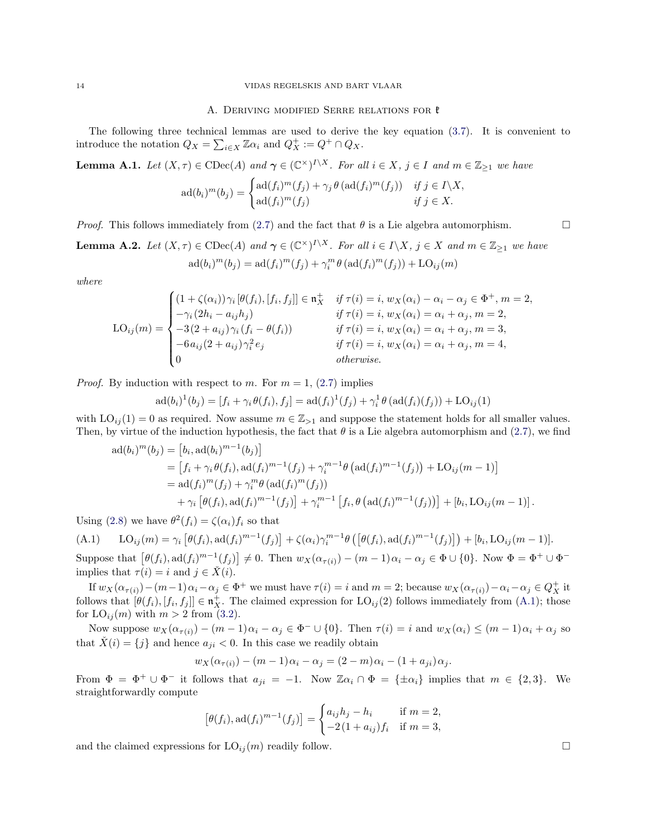#### A. DERIVING MODIFIED SERRE RELATIONS FOR  $t$

The following three technical lemmas are used to derive the key equation [\(3.7\)](#page-6-3). It is convenient to introduce the notation  $Q_X = \sum_{i \in X} \mathbb{Z} \alpha_i$  and  $Q_X^+ := Q^+ \cap Q_X$ .

<span id="page-13-1"></span>**Lemma A.1.** Let  $(X, \tau) \in \text{CDec}(A)$  and  $\gamma \in (\mathbb{C}^{\times})^{I \setminus X}$ . For all  $i \in X$ ,  $j \in I$  and  $m \in \mathbb{Z}_{\geq 1}$  we have

$$
\mathrm{ad}(b_i)^m(b_j) = \begin{cases} \mathrm{ad}(f_i)^m(f_j) + \gamma_j \theta \left( \mathrm{ad}(f_i)^m(f_j) \right) & \text{if } j \in I \setminus X, \\ \mathrm{ad}(f_i)^m(f_j) & \text{if } j \in X. \end{cases}
$$

*Proof.* This follows immediately from [\(2.7\)](#page-4-5) and the fact that  $\theta$  is a Lie algebra automorphism.

<span id="page-13-3"></span>**Lemma A.2.** Let  $(X, \tau) \in \text{CDec}(A)$  and  $\gamma \in (\mathbb{C}^{\times})^{I \setminus X}$ . For all  $i \in I \setminus X$ ,  $j \in X$  and  $m \in \mathbb{Z}_{\geq 1}$  we have  $ad(b_i)^m(b_j) = ad(f_i)^m(f_j) + \gamma_i^m \theta (ad(f_i)^m(f_j)) + LO_{ij}(m)$ 

*where*

$$
\text{LO}_{ij}(m) = \begin{cases}\n(1 + \zeta(\alpha_i))\gamma_i[\theta(f_i), [f_i, f_j]] \in \mathfrak{n}_X^+ & \text{if } \tau(i) = i, w_X(\alpha_i) - \alpha_i - \alpha_j \in \Phi^+, m = 2, \\
-\gamma_i(2h_i - a_{ij}h_j) & \text{if } \tau(i) = i, w_X(\alpha_i) = \alpha_i + \alpha_j, m = 2, \\
-3(2 + a_{ij})\gamma_i(f_i - \theta(f_i)) & \text{if } \tau(i) = i, w_X(\alpha_i) = \alpha_i + \alpha_j, m = 3, \\
-6a_{ij}(2 + a_{ij})\gamma_i^2 e_j & \text{if } \tau(i) = i, w_X(\alpha_i) = \alpha_i + \alpha_j, m = 4, \\
0 & \text{otherwise.}\n\end{cases}
$$

*Proof.* By induction with respect to m. For  $m = 1$ , [\(2.7\)](#page-4-5) implies

$$
ad(b_i)^1(b_j) = [f_i + \gamma_i \theta(f_i), f_j] = ad(f_i)^1(f_j) + \gamma_i^1 \theta(ad(f_i)(f_j)) + LO_{ij}(1)
$$

with  $LO_{ij}(1) = 0$  as required. Now assume  $m \in \mathbb{Z}_{\geq 1}$  and suppose the statement holds for all smaller values. Then, by virtue of the induction hypothesis, the fact that  $\theta$  is a Lie algebra automorphism and [\(2.7\)](#page-4-5), we find

$$
ad(b_i)^m(b_j) = [b_i, ad(b_i)^{m-1}(b_j)]
$$
  
=  $[f_i + \gamma_i \theta(f_i), ad(f_i)^{m-1}(f_j) + \gamma_i^{m-1} \theta (ad(f_i)^{m-1}(f_j)) + LO_{ij}(m-1)]$   
=  $ad(f_i)^m(f_j) + \gamma_i^m \theta (ad(f_i)^m(f_j))$   
+  $\gamma_i [\theta(f_i), ad(f_i)^{m-1}(f_j)] + \gamma_i^{m-1} [f_i, \theta (ad(f_i)^{m-1}(f_j))] + [b_i, LO_{ij}(m-1)].$ 

Using [\(2.8\)](#page-4-3) we have  $\theta^2(f_i) = \zeta(\alpha_i) f_i$  so that

<span id="page-13-2"></span>(A.1)  $LO_{ij}(m) = \gamma_i \left[ \theta(f_i), \text{ad}(f_i)^{m-1}(f_j) \right] + \zeta(\alpha_i) \gamma_i^{m-1} \theta \left( \left[ \theta(f_i), \text{ad}(f_i)^{m-1}(f_j) \right] \right) + [b_i, \text{LO}_{ij}(m-1)].$ Suppose that  $[\theta(f_i), \text{ad}(f_i)^{m-1}(f_j)] \neq 0$ . Then  $w_X(\alpha_{\tau(i)}) - (m-1)\alpha_i - \alpha_j \in \Phi \cup \{0\}$ . Now  $\Phi = \Phi^+ \cup \Phi^$ implies that  $\tau(i) = i$  and  $j \in \check{X}(i)$ .

If  $w_X(\alpha_{\tau(i)}) - (m-1)\alpha_i - \alpha_j \in \Phi^+$  we must have  $\tau(i) = i$  and  $m = 2$ ; because  $w_X(\alpha_{\tau(i)}) - \alpha_i - \alpha_j \in Q_X^+$  it follows that  $[\theta(f_i), [f_i, f_j]] \in \mathfrak{n}_X^+$ . The claimed expression for  $LO_{ij}(2)$  follows immediately from  $(A.1)$ ; those for  $LO_{ij}(m)$  with  $m > 2$  from [\(3.2\)](#page-6-6).

Now suppose  $w_X(\alpha_{\tau(i)}) - (m-1)\alpha_i - \alpha_j \in \Phi^- \cup \{0\}$ . Then  $\tau(i) = i$  and  $w_X(\alpha_i) \leq (m-1)\alpha_i + \alpha_j$  so that  $\check{X}(i) = \{j\}$  and hence  $a_{ji} < 0$ . In this case we readily obtain

$$
w_X(\alpha_{\tau(i)}) - (m-1)\alpha_i - \alpha_j = (2-m)\alpha_i - (1+a_{ji})\alpha_j.
$$

From  $\Phi = \Phi^+ \cup \Phi^-$  it follows that  $a_{ji} = -1$ . Now  $\mathbb{Z} \alpha_i \cap \Phi = {\pm \alpha_i}$  implies that  $m \in \{2,3\}$ . We straightforwardly compute

$$
[\theta(f_i), \mathrm{ad}(f_i)^{m-1}(f_j)] = \begin{cases} a_{ij}h_j - h_i & \text{if } m = 2, \\ -2(1 + a_{ij})f_i & \text{if } m = 3, \end{cases}
$$

and the claimed expressions for  $LO_{ij}(m)$  readily follow.

<span id="page-13-0"></span>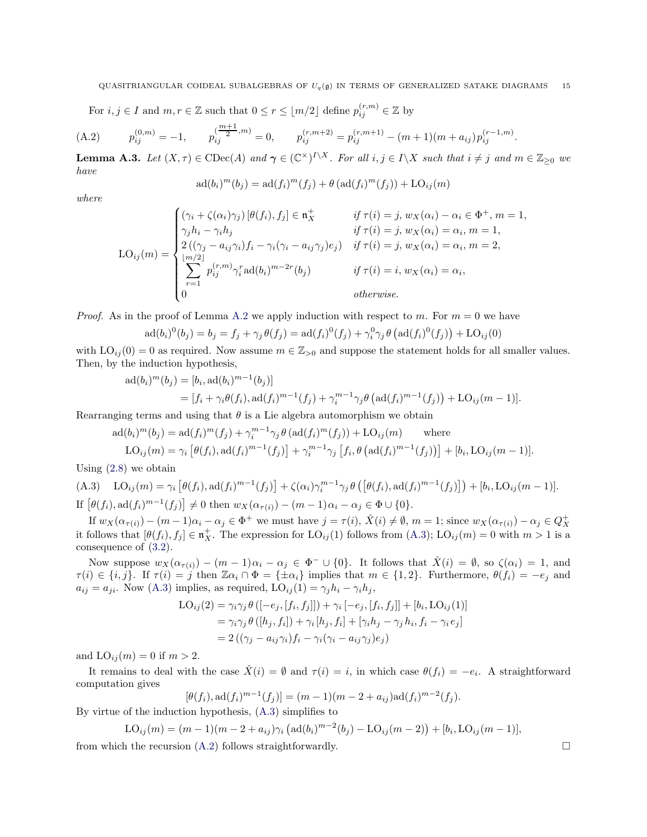<span id="page-14-2"></span>For  $i, j \in I$  and  $m, r \in \mathbb{Z}$  such that  $0 \le r \le \lfloor m/2 \rfloor$  define  $p_{ij}^{(r,m)} \in \mathbb{Z}$  by

$$
(A.2) \t p_{ij}^{(0,m)} = -1, \t p_{ij}^{(\frac{m+1}{2},m)} = 0, \t p_{ij}^{(r,m+2)} = p_{ij}^{(r,m+1)} - (m+1)(m+a_{ij})p_{ij}^{(r-1,m)}.
$$

<span id="page-14-0"></span>**Lemma A.3.** Let  $(X, \tau) \in \text{CDec}(A)$  and  $\gamma \in (\mathbb{C}^{\times})^{I \setminus X}$ . For all  $i, j \in I \setminus X$  such that  $i \neq j$  and  $m \in \mathbb{Z}_{\geq 0}$  we *have*

$$
ad(bi)m(bj) = ad(fi)m(fj) + \theta (ad(fi)m(fj)) + LOij(m)
$$

*where*

$$
LO_{ij}(m) = \begin{cases} (\gamma_i + \zeta(\alpha_i)\gamma_j) \left[\theta(f_i), f_j\right] \in \mathfrak{n}_X^+ & \text{if } \tau(i) = j, w_X(\alpha_i) - \alpha_i \in \Phi^+, m = 1, \\ \gamma_j h_i - \gamma_i h_j & \text{if } \tau(i) = j, w_X(\alpha_i) = \alpha_i, m = 1, \\ 2\left((\gamma_j - a_{ij}\gamma_i)f_i - \gamma_i(\gamma_i - a_{ij}\gamma_j)e_j\right) & \text{if } \tau(i) = j, w_X(\alpha_i) = \alpha_i, m = 2, \\ \sum_{r=1}^{\lfloor m/2 \rfloor} p_{ij}^{(r,m)} \gamma_i^r \operatorname{ad}(b_i)^{m-2r}(b_j) & \text{if } \tau(i) = i, w_X(\alpha_i) = \alpha_i, \\ 0 & \text{otherwise.} \end{cases}
$$

*Proof.* As in the proof of Lemma [A.2](#page-13-3) we apply induction with respect to m. For  $m = 0$  we have

$$
ad(b_i)^0(b_j) = b_j = f_j + \gamma_j \theta(f_j) = ad(f_i)^0(f_j) + \gamma_i^0 \gamma_j \theta (ad(f_i)^0(f_j)) + LO_{ij}(0)
$$

with  $LO_{ij}(0) = 0$  as required. Now assume  $m \in \mathbb{Z}_{>0}$  and suppose the statement holds for all smaller values. Then, by the induction hypothesis,

$$
ad(b_i)^m(b_j) = [b_i, ad(b_i)^{m-1}(b_j)]
$$
  
=  $[f_i + \gamma_i \theta(f_i), ad(f_i)^{m-1}(f_j) + \gamma_i^{m-1} \gamma_j \theta(ad(f_i)^{m-1}(f_j)) + LO_{ij}(m-1)].$ 

Rearranging terms and using that  $\theta$  is a Lie algebra automorphism we obtain

$$
ad(b_i)^m(b_j) = ad(f_i)^m(f_j) + \gamma_i^{m-1} \gamma_j \theta (ad(f_i)^m(f_j)) + LO_{ij}(m)
$$
 where

$$
LO_{ij}(m) = \gamma_i \left[ \theta(f_i), \mathrm{ad}(f_i)^{m-1}(f_j) \right] + \gamma_i^{m-1} \gamma_j \left[ f_i, \theta \left( \mathrm{ad}(f_i)^{m-1}(f_j) \right) \right] + [b_i, \mathrm{LO}_{ij}(m-1)].
$$
  
When the probability

Using [\(2.8\)](#page-4-3) we obtain

<span id="page-14-1"></span>(A.3) 
$$
LO_{ij}(m) = \gamma_i \left[ \theta(f_i), \text{ad}(f_i)^{m-1}(f_j) \right] + \zeta(\alpha_i) \gamma_i^{m-1} \gamma_j \theta \left( \left[ \theta(f_i), \text{ad}(f_i)^{m-1}(f_j) \right] \right) + [b_i, \text{LO}_{ij}(m-1)].
$$
  
If 
$$
\left[ \theta(f_i), \text{ad}(f_i)^{m-1}(f_j) \right] \neq 0 \text{ then } w_X(\alpha_{\tau(i)}) - (m-1)\alpha_i - \alpha_j \in \Phi \cup \{0\}.
$$

If  $w_X(\alpha_{\tau(i)}) - (m-1)\alpha_i - \alpha_j \in \Phi^+$  we must have  $j = \tau(i)$ ,  $\check{X}(i) \neq \emptyset$ ,  $m = 1$ ; since  $w_X(\alpha_{\tau(i)}) - \alpha_j \in Q_X^+$ it follows that  $[\theta(f_i), f_j] \in \mathfrak{n}_X^+$ . The expression for  $LO_{ij}(1)$  follows from  $(A.3)$ ;  $LO_{ij}(m) = 0$  with  $m > 1$  is a consequence of [\(3.2\)](#page-6-6).

Now suppose  $w_X(\alpha_{\tau(i)}) - (m-1)\alpha_i - \alpha_j \in \Phi^- \cup \{0\}$ . It follows that  $\check{X}(i) = \emptyset$ , so  $\zeta(\alpha_i) = 1$ , and  $\tau(i) \in \{i, j\}$ . If  $\tau(i) = j$  then  $\mathbb{Z} \alpha_i \cap \Phi = {\pm \alpha_i}$  implies that  $m \in \{1, 2\}$ . Furthermore,  $\theta(f_i) = -e_j$  and  $a_{ij} = a_{ji}$ . Now [\(A.3\)](#page-14-1) implies, as required,  $LO_{ij}(1) = \gamma_j h_i - \gamma_i h_j$ ,

$$
\text{LO}_{ij}(2) = \gamma_i \gamma_j \theta \left( [-e_j, [f_i, f_j]] \right) + \gamma_i \left[ -e_j, [f_i, f_j]] + [b_i, \text{LO}_{ij}(1)] \right)
$$
  
=  $\gamma_i \gamma_j \theta \left( [h_j, f_i] \right) + \gamma_i [h_j, f_i] + [\gamma_i h_j - \gamma_j h_i, f_i - \gamma_i e_j]$   
=  $2 \left( (\gamma_j - a_{ij} \gamma_i) f_i - \gamma_i (\gamma_i - a_{ij} \gamma_j) e_j \right)$ 

and  $LO_{ij}(m) = 0$  if  $m > 2$ .

It remains to deal with the case  $\check{X}(i) = \emptyset$  and  $\tau(i) = i$ , in which case  $\theta(f_i) = -e_i$ . A straightforward computation gives

$$
[\theta(f_i), \mathrm{ad}(f_i)^{m-1}(f_j)] = (m-1)(m-2 + a_{ij})\mathrm{ad}(f_i)^{m-2}(f_j).
$$

By virtue of the induction hypothesis, [\(A.3\)](#page-14-1) simplifies to

$$
LO_{ij}(m) = (m-1)(m-2 + a_{ij})\gamma_i \left(\text{ad}(b_i)^{m-2}(b_j) - \text{LO}_{ij}(m-2)\right) + [b_i, \text{LO}_{ij}(m-1)],
$$

from which the recursion  $(A.2)$  follows straightforwardly.